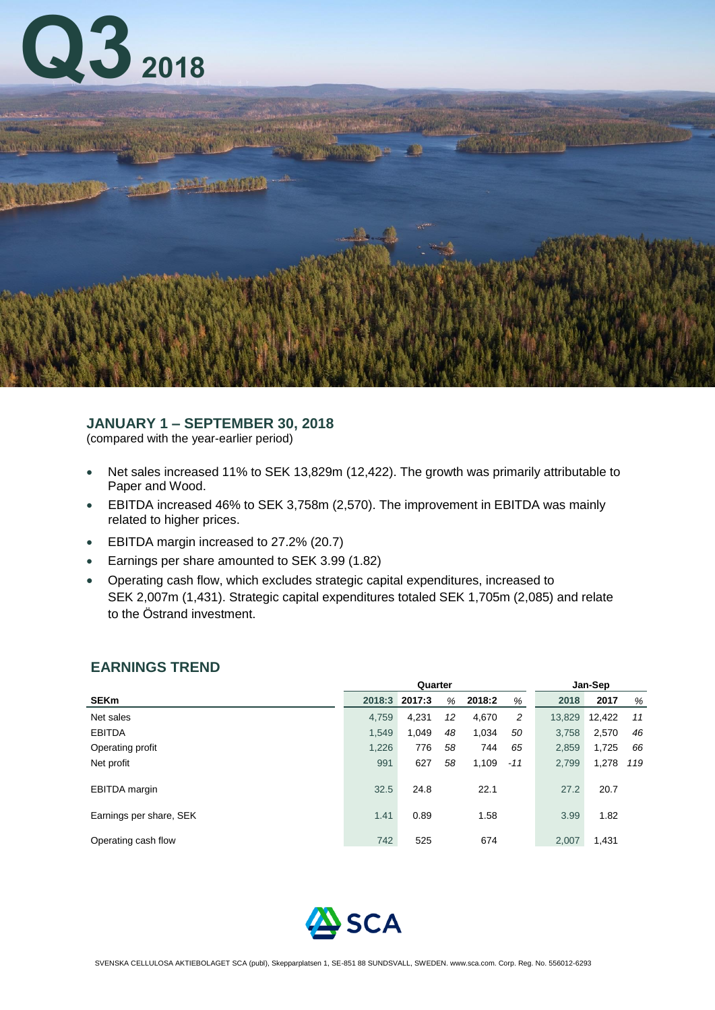



# **JANUARY 1 – SEPTEMBER 30, 2018**

(compared with the year-earlier period)

- Net sales increased 11% to SEK 13,829m (12,422). The growth was primarily attributable to Paper and Wood.
- EBITDA increased 46% to SEK 3,758m (2,570). The improvement in EBITDA was mainly related to higher prices.
- EBITDA margin increased to 27.2% (20.7)
- Earnings per share amounted to SEK 3.99 (1.82)
- Operating cash flow, which excludes strategic capital expenditures, increased to SEK 2,007m (1,431). Strategic capital expenditures totaled SEK 1,705m (2,085) and relate to the Östrand investment.

# **EARNINGS TREND**

|                         |        | Quarter |    | Jan-Sep |       |        |        |     |
|-------------------------|--------|---------|----|---------|-------|--------|--------|-----|
| <b>SEKm</b>             | 2018:3 | 2017:3  | %  | 2018:2  | %     | 2018   | 2017   | %   |
| Net sales               | 4,759  | 4,231   | 12 | 4,670   | 2     | 13,829 | 12,422 | 11  |
| <b>EBITDA</b>           | 1,549  | 1,049   | 48 | 1,034   | 50    | 3,758  | 2,570  | 46  |
| Operating profit        | 1,226  | 776     | 58 | 744     | 65    | 2,859  | 1,725  | 66  |
| Net profit              | 991    | 627     | 58 | 1,109   | $-11$ | 2,799  | 1,278  | 119 |
| <b>EBITDA</b> margin    | 32.5   | 24.8    |    | 22.1    |       | 27.2   | 20.7   |     |
| Earnings per share, SEK | 1.41   | 0.89    |    | 1.58    |       | 3.99   | 1.82   |     |
| Operating cash flow     | 742    | 525     |    | 674     |       | 2,007  | 1,431  |     |

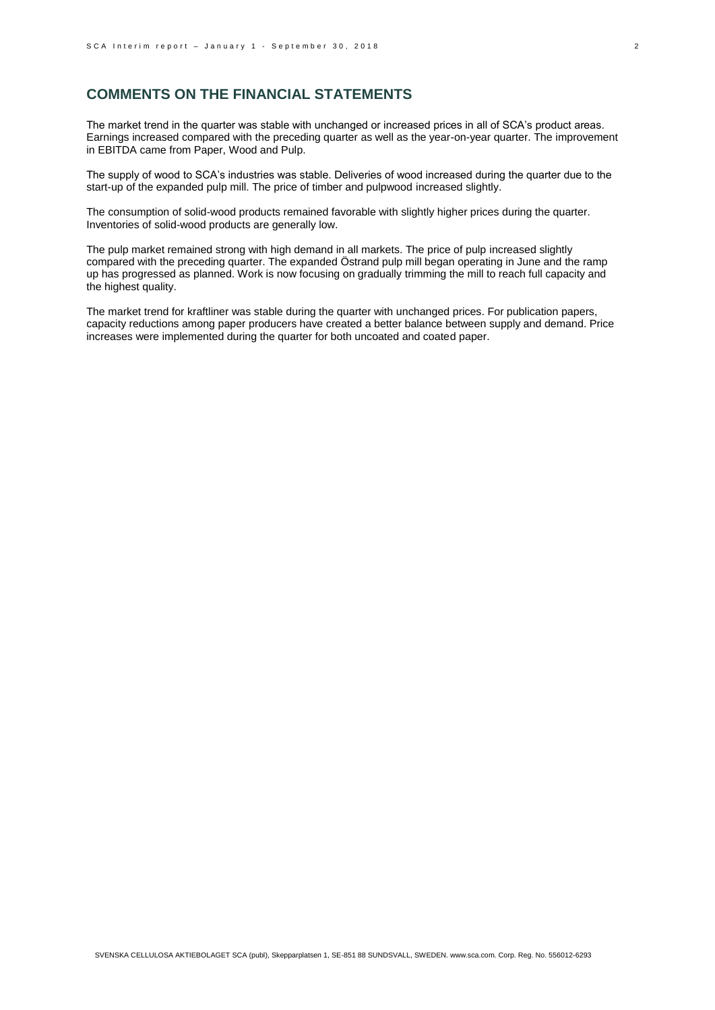## **COMMENTS ON THE FINANCIAL STATEMENTS**

The market trend in the quarter was stable with unchanged or increased prices in all of SCA's product areas. Earnings increased compared with the preceding quarter as well as the year-on-year quarter. The improvement in EBITDA came from Paper, Wood and Pulp.

The supply of wood to SCA's industries was stable. Deliveries of wood increased during the quarter due to the start-up of the expanded pulp mill. The price of timber and pulpwood increased slightly.

The consumption of solid-wood products remained favorable with slightly higher prices during the quarter. Inventories of solid-wood products are generally low.

The pulp market remained strong with high demand in all markets. The price of pulp increased slightly compared with the preceding quarter. The expanded Östrand pulp mill began operating in June and the ramp up has progressed as planned. Work is now focusing on gradually trimming the mill to reach full capacity and the highest quality.

The market trend for kraftliner was stable during the quarter with unchanged prices. For publication papers, capacity reductions among paper producers have created a better balance between supply and demand. Price increases were implemented during the quarter for both uncoated and coated paper.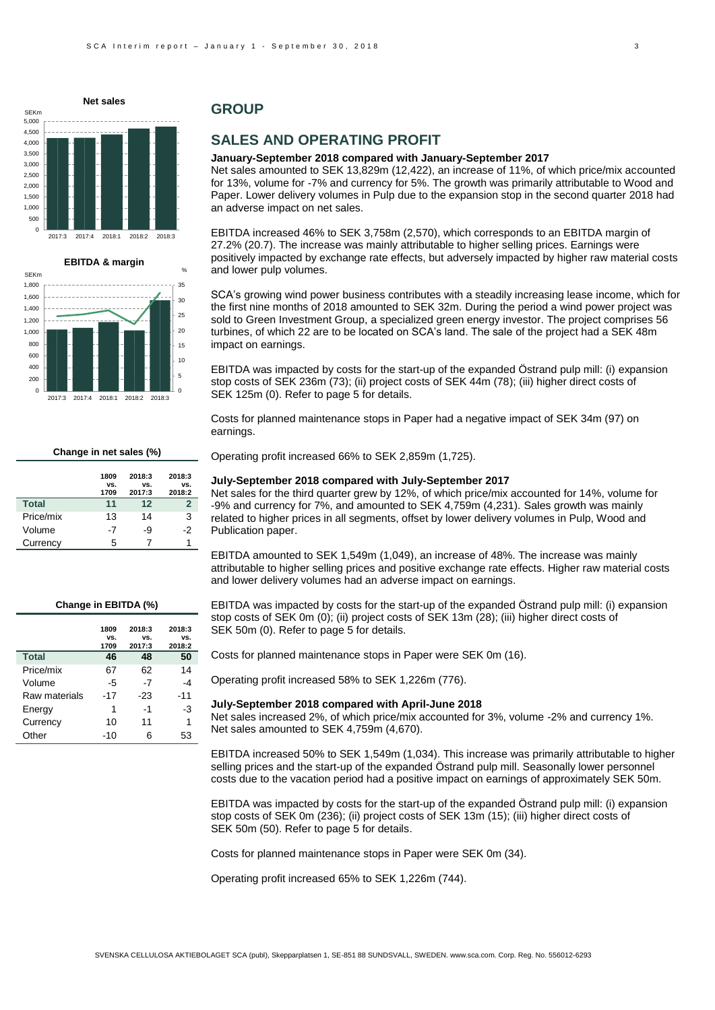$\overline{0}$ 500 1,000 1,500 2,000 2,500 3,000 3,500 4,000 4,500 5,000 2017:3 2017:4 2018:1 2018:2 2018:3 **Net sales** SEKm



## **GROUP**

## **SALES AND OPERATING PROFIT**

#### **January-September 2018 compared with January-September 2017**

Net sales amounted to SEK 13,829m (12,422), an increase of 11%, of which price/mix accounted for 13%, volume for -7% and currency for 5%. The growth was primarily attributable to Wood and Paper. Lower delivery volumes in Pulp due to the expansion stop in the second quarter 2018 had an adverse impact on net sales.

EBITDA increased 46% to SEK 3,758m (2,570), which corresponds to an EBITDA margin of 27.2% (20.7). The increase was mainly attributable to higher selling prices. Earnings were positively impacted by exchange rate effects, but adversely impacted by higher raw material costs and lower pulp volumes.

SCA's growing wind power business contributes with a steadily increasing lease income, which for the first nine months of 2018 amounted to SEK 32m. During the period a wind power project was sold to Green Investment Group, a specialized green energy investor. The project comprises 56 turbines, of which 22 are to be located on SCA's land. The sale of the project had a SEK 48m impact on earnings.

EBITDA was impacted by costs for the start-up of the expanded Östrand pulp mill: (i) expansion stop costs of SEK 236m (73); (ii) project costs of SEK 44m (78); (iii) higher direct costs of SEK 125m (0). Refer to page 5 for details.

Costs for planned maintenance stops in Paper had a negative impact of SEK 34m (97) on earnings.

Operating profit increased 66% to SEK 2,859m (1,725).

#### **1809 vs. 1709 2018:3 vs. 2017:3 2018:3 vs. 2018:2 Total 11 12 2** Price/mix 13 14 3 Volume -7 -9 -2 Currency 5 7 1

**Change in net sales (%)**

#### **July-September 2018 compared with July-September 2017**

Net sales for the third quarter grew by 12%, of which price/mix accounted for 14%, volume for -9% and currency for 7%, and amounted to SEK 4,759m (4,231). Sales growth was mainly related to higher prices in all segments, offset by lower delivery volumes in Pulp, Wood and Publication paper.

EBITDA amounted to SEK 1,549m (1,049), an increase of 48%. The increase was mainly attributable to higher selling prices and positive exchange rate effects. Higher raw material costs and lower delivery volumes had an adverse impact on earnings.

#### **Change in EBITDA (%)**

|               | 1809  | 2018:3 | 2018:3 |
|---------------|-------|--------|--------|
|               | VS.   | VS.    | VS.    |
|               | 1709  | 2017:3 | 2018:2 |
| <b>Total</b>  | 46    | 48     | 50     |
| Price/mix     | 67    | 62     | 14     |
| Volume        | -5    | -7     | -4     |
| Raw materials | $-17$ | -23    | $-11$  |
| Energy        | 1     | -1     | -3     |
| Currency      | 10    | 11     | 1      |
| Other         | -10   | 6      | 53     |

EBITDA was impacted by costs for the start-up of the expanded Östrand pulp mill: (i) expansion stop costs of SEK 0m (0); (ii) project costs of SEK 13m (28); (iii) higher direct costs of SEK 50m (0). Refer to page 5 for details.

Costs for planned maintenance stops in Paper were SEK 0m (16).

Operating profit increased 58% to SEK 1,226m (776).

#### **July-September 2018 compared with April-June 2018**

Net sales increased 2%, of which price/mix accounted for 3%, volume -2% and currency 1%. Net sales amounted to SEK 4,759m (4,670).

EBITDA increased 50% to SEK 1,549m (1,034). This increase was primarily attributable to higher selling prices and the start-up of the expanded Östrand pulp mill. Seasonally lower personnel costs due to the vacation period had a positive impact on earnings of approximately SEK 50m.

EBITDA was impacted by costs for the start-up of the expanded Östrand pulp mill: (i) expansion stop costs of SEK 0m (236); (ii) project costs of SEK 13m (15); (iii) higher direct costs of SEK 50m (50). Refer to page 5 for details.

Costs for planned maintenance stops in Paper were SEK 0m (34).

Operating profit increased 65% to SEK 1,226m (744).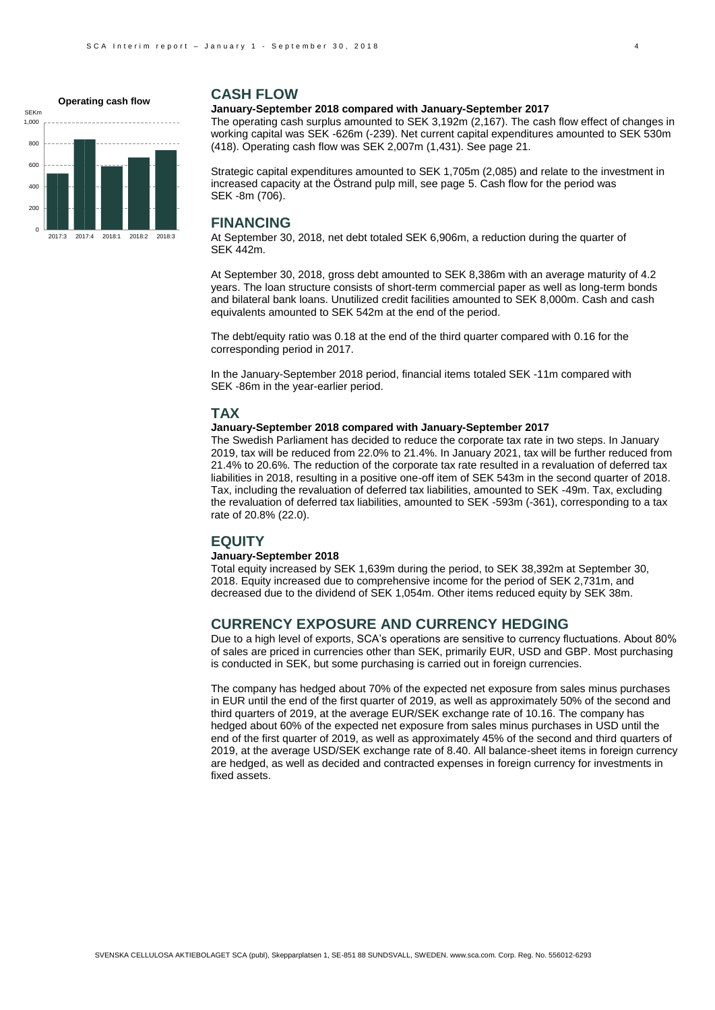0 200 400 600  $800$ 1,000 2017:3 2017:4 2018:1 2018:2 2018:3 **Operating cash flow** SEKm

### **CASH FLOW**

#### **January-September 2018 compared with January-September 2017**

The operating cash surplus amounted to SEK 3,192m (2,167). The cash flow effect of changes in working capital was SEK -626m (-239). Net current capital expenditures amounted to SEK 530m (418). Operating cash flow was SEK 2,007m (1,431). See page 21.

Strategic capital expenditures amounted to SEK 1,705m (2,085) and relate to the investment in increased capacity at the Östrand pulp mill, see page 5. Cash flow for the period was SEK -8m (706).

### **FINANCING**

At September 30, 2018, net debt totaled SEK 6,906m, a reduction during the quarter of SEK 442m.

At September 30, 2018, gross debt amounted to SEK 8,386m with an average maturity of 4.2 years. The loan structure consists of short-term commercial paper as well as long-term bonds and bilateral bank loans. Unutilized credit facilities amounted to SEK 8,000m. Cash and cash equivalents amounted to SEK 542m at the end of the period.

The debt/equity ratio was 0.18 at the end of the third quarter compared with 0.16 for the corresponding period in 2017.

In the January-September 2018 period, financial items totaled SEK -11m compared with SEK -86m in the year-earlier period.

### **TAX**

### **January-September 2018 compared with January-September 2017**

The Swedish Parliament has decided to reduce the corporate tax rate in two steps. In January 2019, tax will be reduced from 22.0% to 21.4%. In January 2021, tax will be further reduced from 21.4% to 20.6%. The reduction of the corporate tax rate resulted in a revaluation of deferred tax liabilities in 2018, resulting in a positive one-off item of SEK 543m in the second quarter of 2018. Tax, including the revaluation of deferred tax liabilities, amounted to SEK -49m. Tax, excluding the revaluation of deferred tax liabilities, amounted to SEK -593m (-361), corresponding to a tax rate of 20.8% (22.0).

### **EQUITY**

#### **January-September 2018**

Total equity increased by SEK 1,639m during the period, to SEK 38,392m at September 30, 2018. Equity increased due to comprehensive income for the period of SEK 2,731m, and decreased due to the dividend of SEK 1,054m. Other items reduced equity by SEK 38m.

## **CURRENCY EXPOSURE AND CURRENCY HEDGING**

Due to a high level of exports, SCA's operations are sensitive to currency fluctuations. About 80% of sales are priced in currencies other than SEK, primarily EUR, USD and GBP. Most purchasing is conducted in SEK, but some purchasing is carried out in foreign currencies.

The company has hedged about 70% of the expected net exposure from sales minus purchases in EUR until the end of the first quarter of 2019, as well as approximately 50% of the second and third quarters of 2019, at the average EUR/SEK exchange rate of 10.16. The company has hedged about 60% of the expected net exposure from sales minus purchases in USD until the end of the first quarter of 2019, as well as approximately 45% of the second and third quarters of 2019, at the average USD/SEK exchange rate of 8.40. All balance-sheet items in foreign currency are hedged, as well as decided and contracted expenses in foreign currency for investments in fixed assets.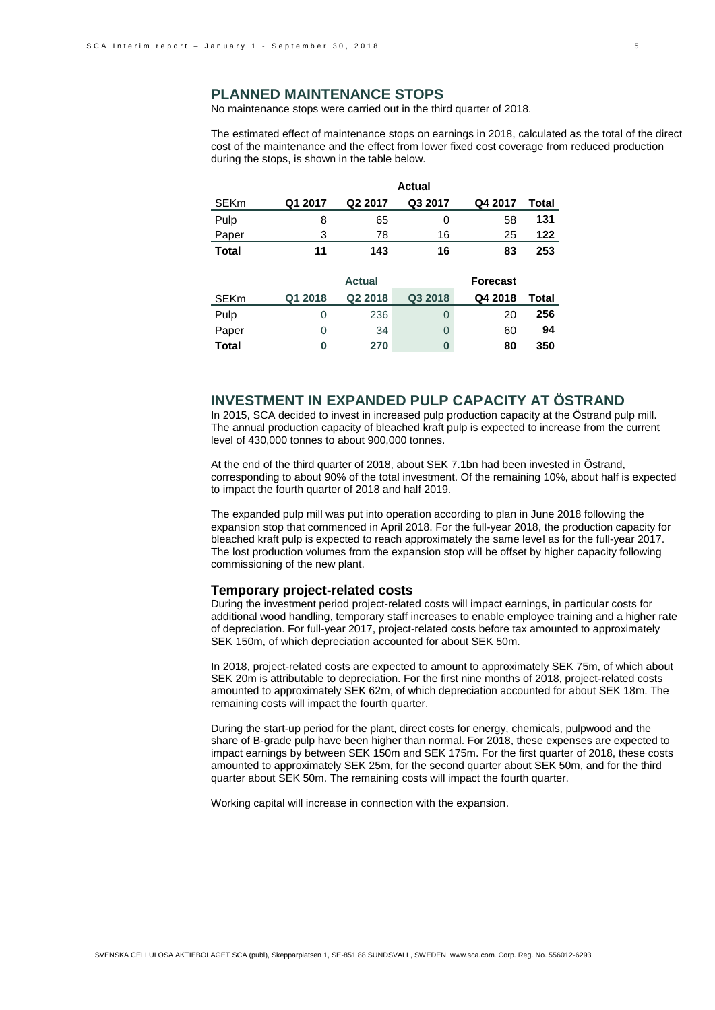### **PLANNED MAINTENANCE STOPS**

No maintenance stops were carried out in the third quarter of 2018.

The estimated effect of maintenance stops on earnings in 2018, calculated as the total of the direct cost of the maintenance and the effect from lower fixed cost coverage from reduced production during the stops, is shown in the table below.

|              |         |                     | <b>Actual</b> |                 |       |
|--------------|---------|---------------------|---------------|-----------------|-------|
| <b>SEKm</b>  | Q1 2017 | Q <sub>2</sub> 2017 | Q3 2017       | Q4 2017         | Total |
| Pulp         | 8       | 65                  | 0             | 58              | 131   |
| Paper        | 3       | 78                  | 16            | 25              | 122   |
| <b>Total</b> | 11      | 143                 | 16            | 83              | 253   |
|              |         |                     |               |                 |       |
|              |         | <b>Actual</b>       |               | <b>Forecast</b> |       |
| <b>SEKm</b>  | Q1 2018 | Q <sub>2</sub> 2018 | Q3 2018       | Q4 2018         | Total |

| <b>PENIL</b> | <b>ULL ZUID</b> | <b>UZZUIO</b> | <b>QUID</b> | <b>44 ZUIO</b> | ι υιαι |
|--------------|-----------------|---------------|-------------|----------------|--------|
| Pulp         |                 | 236           |             | 20             | 256    |
| Paper        |                 | 34            |             | 60             | 94     |
| Total        |                 | 270           |             | 80             | 350    |

### **INVESTMENT IN EXPANDED PULP CAPACITY AT ÖSTRAND**

In 2015, SCA decided to invest in increased pulp production capacity at the Östrand pulp mill. The annual production capacity of bleached kraft pulp is expected to increase from the current level of 430,000 tonnes to about 900,000 tonnes.

At the end of the third quarter of 2018, about SEK 7.1bn had been invested in Östrand, corresponding to about 90% of the total investment. Of the remaining 10%, about half is expected to impact the fourth quarter of 2018 and half 2019.

The expanded pulp mill was put into operation according to plan in June 2018 following the expansion stop that commenced in April 2018. For the full-year 2018, the production capacity for bleached kraft pulp is expected to reach approximately the same level as for the full-year 2017. The lost production volumes from the expansion stop will be offset by higher capacity following commissioning of the new plant.

### **Temporary project-related costs**

During the investment period project-related costs will impact earnings, in particular costs for additional wood handling, temporary staff increases to enable employee training and a higher rate of depreciation. For full-year 2017, project-related costs before tax amounted to approximately SEK 150m, of which depreciation accounted for about SEK 50m.

In 2018, project-related costs are expected to amount to approximately SEK 75m, of which about SEK 20m is attributable to depreciation. For the first nine months of 2018, project-related costs amounted to approximately SEK 62m, of which depreciation accounted for about SEK 18m. The remaining costs will impact the fourth quarter.

During the start-up period for the plant, direct costs for energy, chemicals, pulpwood and the share of B-grade pulp have been higher than normal. For 2018, these expenses are expected to impact earnings by between SEK 150m and SEK 175m. For the first quarter of 2018, these costs amounted to approximately SEK 25m, for the second quarter about SEK 50m, and for the third quarter about SEK 50m. The remaining costs will impact the fourth quarter.

Working capital will increase in connection with the expansion.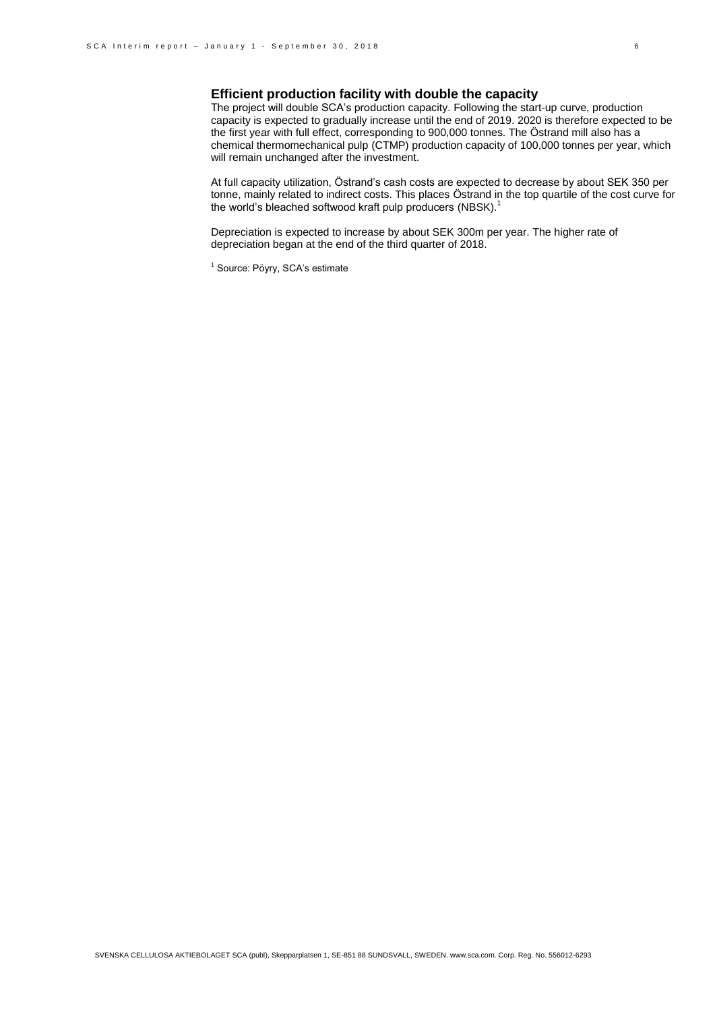# **Efficient production facility with double the capacity**

The project will double SCA's production capacity. Following the start-up curve, production capacity is expected to gradually increase until the end of 2019. 2020 is therefore expected to be the first year with full effect, corresponding to 900,000 tonnes. The Östrand mill also has a chemical thermomechanical pulp (CTMP) production capacity of 100,000 tonnes per year, which will remain unchanged after the investment.

At full capacity utilization, Östrand's cash costs are expected to decrease by about SEK 350 per tonne, mainly related to indirect costs. This places Östrand in the top quartile of the cost curve for the world's bleached softwood kraft pulp producers (NBSK).<sup>1</sup>

Depreciation is expected to increase by about SEK 300m per year. The higher rate of depreciation began at the end of the third quarter of 2018.

<sup>1</sup> Source: Pöyry, SCA's estimate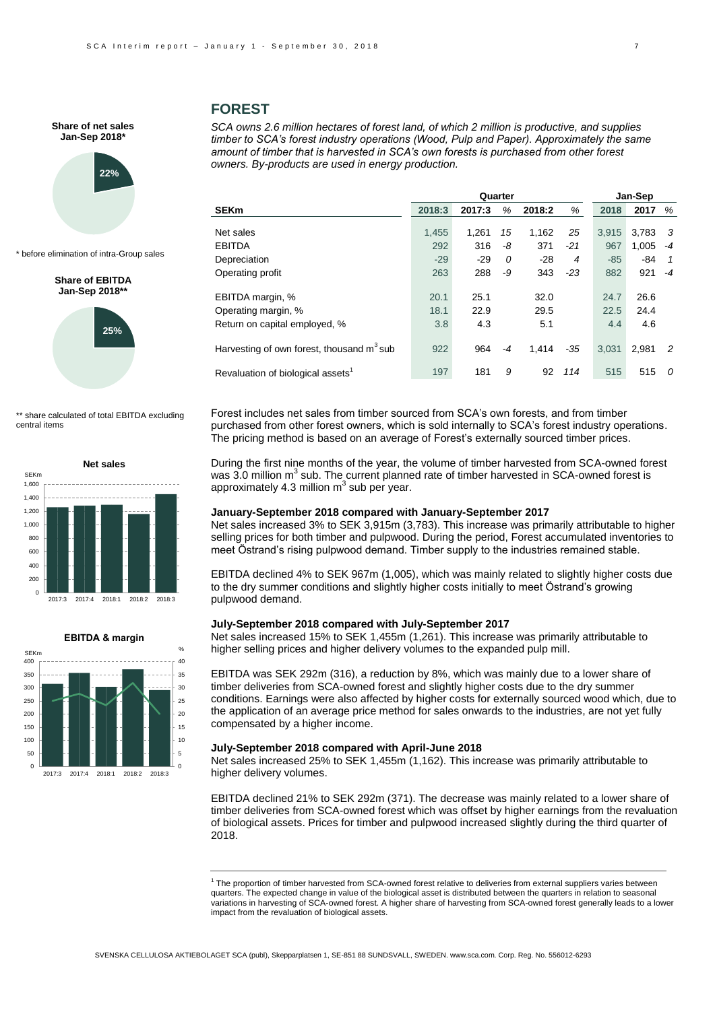

\* before elimination of intra-Group sales

**Share of EBITDA Jan-Sep 2018\*\*** 



\*\* share calculated of total EBITDA excluding central items





### **FOREST**

*SCA owns 2.6 million hectares of forest land, of which 2 million is productive, and supplies timber to SCA's forest industry operations (Wood, Pulp and Paper). Approximately the same amount of timber that is harvested in SCA's own forests is purchased from other forest owners. By-products are used in energy production.* 

|                                               | Quarter |        |      |        |       |       | Jan-Sep |      |  |
|-----------------------------------------------|---------|--------|------|--------|-------|-------|---------|------|--|
| <b>SEKm</b>                                   | 2018:3  | 2017:3 | %    | 2018:2 | %     | 2018  | 2017    | %    |  |
| Net sales                                     | 1,455   | 1.261  | 15   | 1,162  | 25    | 3.915 | 3,783   | - 3  |  |
| <b>EBITDA</b>                                 | 292     | 316    | -8   | 371    | $-21$ | 967   | 1,005   | $-4$ |  |
| Depreciation                                  | $-29$   | $-29$  | 0    | $-28$  | 4     | $-85$ | -84     | 1    |  |
| Operating profit                              | 263     | 288    | -9   | 343    | $-23$ | 882   | 921     | $-4$ |  |
| EBITDA margin, %                              | 20.1    | 25.1   |      | 32.0   |       | 24.7  | 26.6    |      |  |
| Operating margin, %                           | 18.1    | 22.9   |      | 29.5   |       | 22.5  | 24.4    |      |  |
| Return on capital employed, %                 | 3.8     | 4.3    |      | 5.1    |       | 4.4   | 4.6     |      |  |
| Harvesting of own forest, thousand $m3$ sub   | 922     | 964    | $-4$ | 1.414  | -35   | 3.031 | 2.981   | -2   |  |
| Revaluation of biological assets <sup>1</sup> | 197     | 181    | 9    | 92     | 114   | 515   | 515     | 0    |  |

Forest includes net sales from timber sourced from SCA's own forests, and from timber purchased from other forest owners, which is sold internally to SCA's forest industry operations. The pricing method is based on an average of Forest's externally sourced timber prices.

During the first nine months of the year, the volume of timber harvested from SCA-owned forest was 3.0 million  $m^3$  sub. The current planned rate of timber harvested in SCA-owned forest is approximately 4.3 million  $m^3$  sub per year.

#### **January-September 2018 compared with January-September 2017**

Net sales increased 3% to SEK 3,915m (3,783). This increase was primarily attributable to higher selling prices for both timber and pulpwood. During the period, Forest accumulated inventories to meet Östrand's rising pulpwood demand. Timber supply to the industries remained stable.

EBITDA declined 4% to SEK 967m (1,005), which was mainly related to slightly higher costs due to the dry summer conditions and slightly higher costs initially to meet Östrand's growing pulpwood demand.

#### **July-September 2018 compared with July-September 2017**

Net sales increased 15% to SEK 1,455m (1,261). This increase was primarily attributable to higher selling prices and higher delivery volumes to the expanded pulp mill.

EBITDA was SEK 292m (316), a reduction by 8%, which was mainly due to a lower share of timber deliveries from SCA-owned forest and slightly higher costs due to the dry summer conditions. Earnings were also affected by higher costs for externally sourced wood which, due to the application of an average price method for sales onwards to the industries, are not yet fully compensated by a higher income.

#### **July-September 2018 compared with April-June 2018**

Net sales increased 25% to SEK 1,455m (1,162). This increase was primarily attributable to higher delivery volumes.

EBITDA declined 21% to SEK 292m (371). The decrease was mainly related to a lower share of timber deliveries from SCA-owned forest which was offset by higher earnings from the revaluation of biological assets. Prices for timber and pulpwood increased slightly during the third quarter of 2018.

<sup>1</sup> The proportion of timber harvested from SCA-owned forest relative to deliveries from external suppliers varies between quarters. The expected change in value of the biological asset is distributed between the quarters in relation to seasonal variations in harvesting of SCA-owned forest. A higher share of harvesting from SCA-owned forest generally leads to a lower impact from the revaluation of biological assets.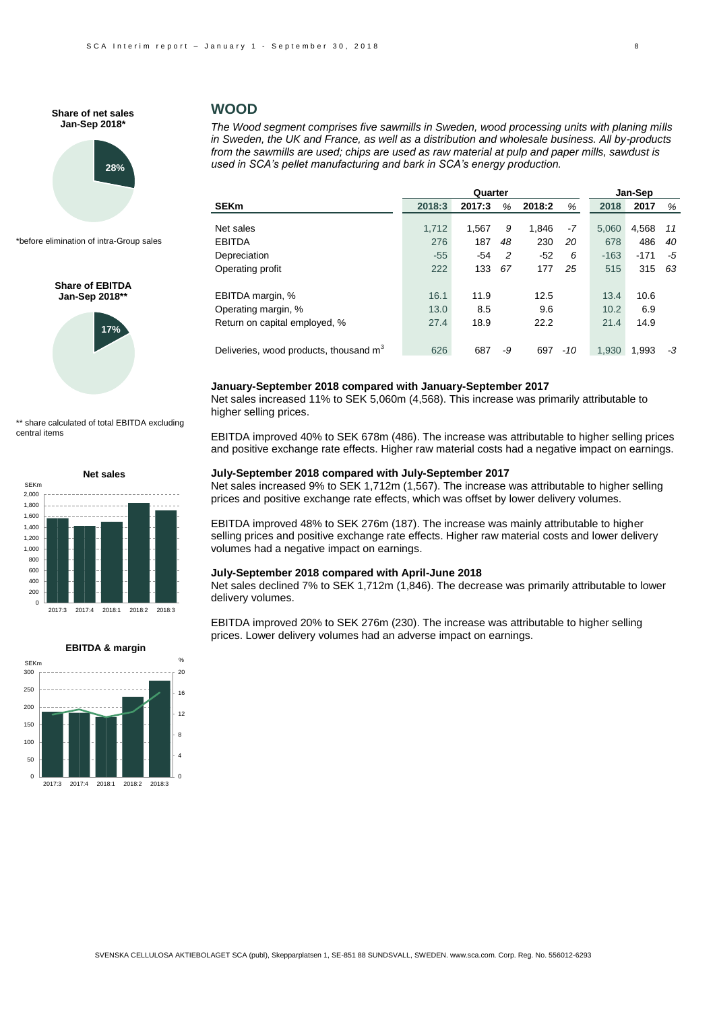

\*before elimination of intra-Group sales

#### **Share of EBITDA Jan-Sep 2018\*\***



\*\* share calculated of total EBITDA excluding central items





### **WOOD**

*The Wood segment comprises five sawmills in Sweden, wood processing units with planing mills in Sweden, the UK and France, as well as a distribution and wholesale business. All by-products from the sawmills are used; chips are used as raw material at pulp and paper mills, sawdust is used in SCA's pellet manufacturing and bark in SCA's energy production.* 

|                                                    |        |        | Jan-Sep |        |     |        |        |    |
|----------------------------------------------------|--------|--------|---------|--------|-----|--------|--------|----|
| <b>SEKm</b>                                        | 2018:3 | 2017:3 | %       | 2018:2 | %   | 2018   | 2017   | %  |
|                                                    |        |        |         |        |     |        |        |    |
| Net sales                                          | 1,712  | 1.567  | 9       | 1.846  | -7  | 5,060  | 4,568  | 11 |
| EBITDA                                             | 276    | 187    | 48      | 230    | 20  | 678    | 486    | 40 |
| Depreciation                                       | $-55$  | $-54$  | 2       | $-52$  | 6   | $-163$ | $-171$ | -5 |
| Operating profit                                   | 222    | 133    | 67      | 177    | 25  | 515    | 315    | 63 |
| EBITDA margin, %                                   | 16.1   | 11.9   |         | 12.5   |     | 13.4   | 10.6   |    |
| Operating margin, %                                | 13.0   | 8.5    |         | 9.6    |     | 10.2   | 6.9    |    |
| Return on capital employed, %                      | 27.4   | 18.9   |         | 22.2   |     | 21.4   | 14.9   |    |
| Deliveries, wood products, thousand m <sup>3</sup> | 626    | 687    | -9      | 697    | -10 | 1.930  | 1.993  | -3 |

#### **January-September 2018 compared with January-September 2017**

Net sales increased 11% to SEK 5,060m (4,568). This increase was primarily attributable to higher selling prices.

EBITDA improved 40% to SEK 678m (486). The increase was attributable to higher selling prices and positive exchange rate effects. Higher raw material costs had a negative impact on earnings.

#### **July-September 2018 compared with July-September 2017**

Net sales increased 9% to SEK 1,712m (1,567). The increase was attributable to higher selling prices and positive exchange rate effects, which was offset by lower delivery volumes.

EBITDA improved 48% to SEK 276m (187). The increase was mainly attributable to higher selling prices and positive exchange rate effects. Higher raw material costs and lower delivery volumes had a negative impact on earnings.

#### **July-September 2018 compared with April-June 2018**

Net sales declined 7% to SEK 1,712m (1,846). The decrease was primarily attributable to lower delivery volumes.

EBITDA improved 20% to SEK 276m (230). The increase was attributable to higher selling prices. Lower delivery volumes had an adverse impact on earnings.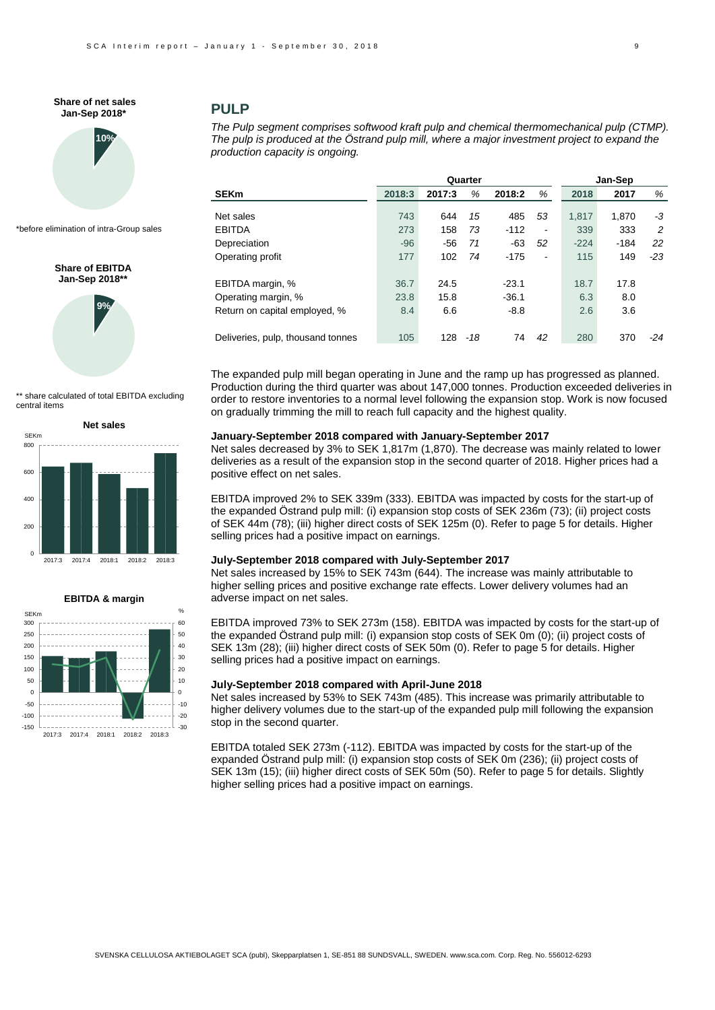

\*before elimination of intra-Group sales

**Share of EBITDA Jan-Sep 2018\*\*** 



\*\* share calculated of total EBITDA excluding central items





### **PULP**

*The Pulp segment comprises softwood kraft pulp and chemical thermomechanical pulp (CTMP). The pulp is produced at the Östrand pulp mill, where a major investment project to expand the production capacity is ongoing.*

|                                   |        |        | Quarter |         |                       | Jan-Sep |        |       |  |
|-----------------------------------|--------|--------|---------|---------|-----------------------|---------|--------|-------|--|
| <b>SEKm</b>                       | 2018:3 | 2017:3 | %       | 2018:2  | %                     | 2018    | 2017   | %     |  |
| Net sales                         | 743    | 644    | 15      | 485     | 53                    | 1.817   | 1,870  | -3    |  |
| <b>EBITDA</b>                     | 273    | 158    | 73      | $-112$  | $\tilde{\phantom{a}}$ | 339     | 333    | 2     |  |
| Depreciation                      | $-96$  | $-56$  | 71      | $-63$   | 52                    | $-224$  | $-184$ | 22    |  |
| Operating profit                  | 177    | 102    | 74      | $-175$  | $\tilde{\phantom{a}}$ | 115     | 149    | $-23$ |  |
| EBITDA margin, %                  | 36.7   | 24.5   |         | $-23.1$ |                       | 18.7    | 17.8   |       |  |
| Operating margin, %               | 23.8   | 15.8   |         | $-36.1$ |                       | 6.3     | 8.0    |       |  |
| Return on capital employed, %     | 8.4    | 6.6    |         | $-8.8$  |                       | 2.6     | 3.6    |       |  |
| Deliveries, pulp, thousand tonnes | 105    | 128    | -18     | 74      | 42                    | 280     | 370    | $-24$ |  |

The expanded pulp mill began operating in June and the ramp up has progressed as planned. Production during the third quarter was about 147,000 tonnes. Production exceeded deliveries in order to restore inventories to a normal level following the expansion stop. Work is now focused on gradually trimming the mill to reach full capacity and the highest quality.

#### **January-September 2018 compared with January-September 2017**

Net sales decreased by 3% to SEK 1,817m (1,870). The decrease was mainly related to lower deliveries as a result of the expansion stop in the second quarter of 2018. Higher prices had a positive effect on net sales.

EBITDA improved 2% to SEK 339m (333). EBITDA was impacted by costs for the start-up of the expanded Östrand pulp mill: (i) expansion stop costs of SEK 236m (73); (ii) project costs of SEK 44m (78); (iii) higher direct costs of SEK 125m (0). Refer to page 5 for details. Higher selling prices had a positive impact on earnings.

#### **July-September 2018 compared with July-September 2017**

Net sales increased by 15% to SEK 743m (644). The increase was mainly attributable to higher selling prices and positive exchange rate effects. Lower delivery volumes had an adverse impact on net sales.

EBITDA improved 73% to SEK 273m (158). EBITDA was impacted by costs for the start-up of the expanded Östrand pulp mill: (i) expansion stop costs of SEK 0m (0); (ii) project costs of SEK 13m (28); (iii) higher direct costs of SEK 50m (0). Refer to page 5 for details. Higher selling prices had a positive impact on earnings.

#### **July-September 2018 compared with April-June 2018**

Net sales increased by 53% to SEK 743m (485). This increase was primarily attributable to higher delivery volumes due to the start-up of the expanded pulp mill following the expansion stop in the second quarter.

EBITDA totaled SEK 273m (-112). EBITDA was impacted by costs for the start-up of the expanded Östrand pulp mill: (i) expansion stop costs of SEK 0m (236); (ii) project costs of SEK 13m (15); (iii) higher direct costs of SEK 50m (50). Refer to page 5 for details. Slightly higher selling prices had a positive impact on earnings.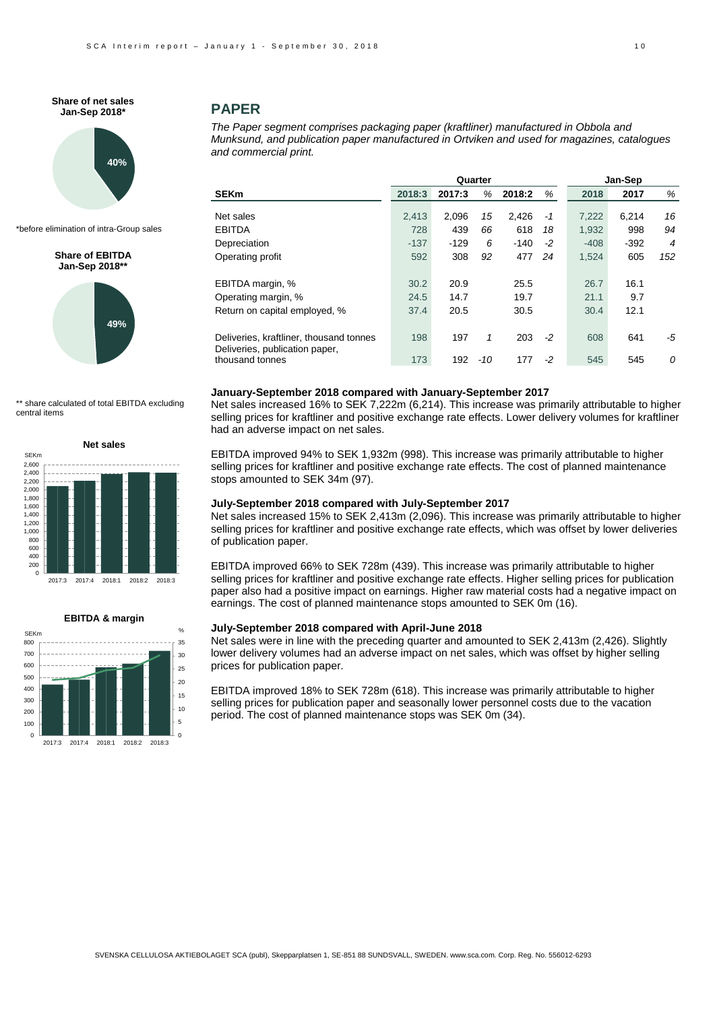

\*before elimination of intra-Group sales

### **Share of EBITDA Jan-Sep 2018\*\***



\*\* share calculated of total EBITDA excluding central items



#### **EBITDA & margin**



### **PAPER**

*The Paper segment comprises packaging paper (kraftliner) manufactured in Obbola and Munksund, and publication paper manufactured in Ortviken and used for magazines, catalogues and commercial print.*

|                                                                           |        |        | Quarter |        |      | Jan-Sep |        |     |  |
|---------------------------------------------------------------------------|--------|--------|---------|--------|------|---------|--------|-----|--|
| <b>SEKm</b>                                                               | 2018:3 | 2017:3 | %       | 2018:2 | %    | 2018    | 2017   | %   |  |
|                                                                           |        |        |         |        |      |         |        |     |  |
| Net sales                                                                 | 2.413  | 2.096  | 15      | 2.426  | -1   | 7.222   | 6.214  | 16  |  |
| EBITDA                                                                    | 728    | 439    | 66      | 618    | 18   | 1,932   | 998    | 94  |  |
| Depreciation                                                              | $-137$ | $-129$ | 6       | $-140$ | $-2$ | $-408$  | $-392$ | 4   |  |
| Operating profit                                                          | 592    | 308    | 92      | 477    | 24   | 1,524   | 605    | 152 |  |
| EBITDA margin, %                                                          | 30.2   | 20.9   |         | 25.5   |      | 26.7    | 16.1   |     |  |
| Operating margin, %                                                       | 24.5   | 14.7   |         | 19.7   |      | 21.1    | 9.7    |     |  |
| Return on capital employed, %                                             | 37.4   | 20.5   |         | 30.5   |      | 30.4    | 12.1   |     |  |
| Deliveries, kraftliner, thousand tonnes<br>Deliveries, publication paper, | 198    | 197    | 1       | 203    | $-2$ | 608     | 641    | -5  |  |
| thousand tonnes                                                           | 173    | 192    | $-10$   | 177    | -2   | 545     | 545    | 0   |  |

#### **January-September 2018 compared with January-September 2017**

Net sales increased 16% to SEK 7,222m (6,214). This increase was primarily attributable to higher selling prices for kraftliner and positive exchange rate effects. Lower delivery volumes for kraftliner had an adverse impact on net sales.

EBITDA improved 94% to SEK 1,932m (998). This increase was primarily attributable to higher selling prices for kraftliner and positive exchange rate effects. The cost of planned maintenance stops amounted to SEK 34m (97).

### **July-September 2018 compared with July-September 2017**

Net sales increased 15% to SEK 2,413m (2,096). This increase was primarily attributable to higher selling prices for kraftliner and positive exchange rate effects, which was offset by lower deliveries of publication paper.

EBITDA improved 66% to SEK 728m (439). This increase was primarily attributable to higher selling prices for kraftliner and positive exchange rate effects. Higher selling prices for publication paper also had a positive impact on earnings. Higher raw material costs had a negative impact on earnings. The cost of planned maintenance stops amounted to SEK 0m (16).

#### **July-September 2018 compared with April-June 2018**

Net sales were in line with the preceding quarter and amounted to SEK 2,413m (2,426). Slightly lower delivery volumes had an adverse impact on net sales, which was offset by higher selling prices for publication paper.

EBITDA improved 18% to SEK 728m (618). This increase was primarily attributable to higher selling prices for publication paper and seasonally lower personnel costs due to the vacation period. The cost of planned maintenance stops was SEK 0m (34).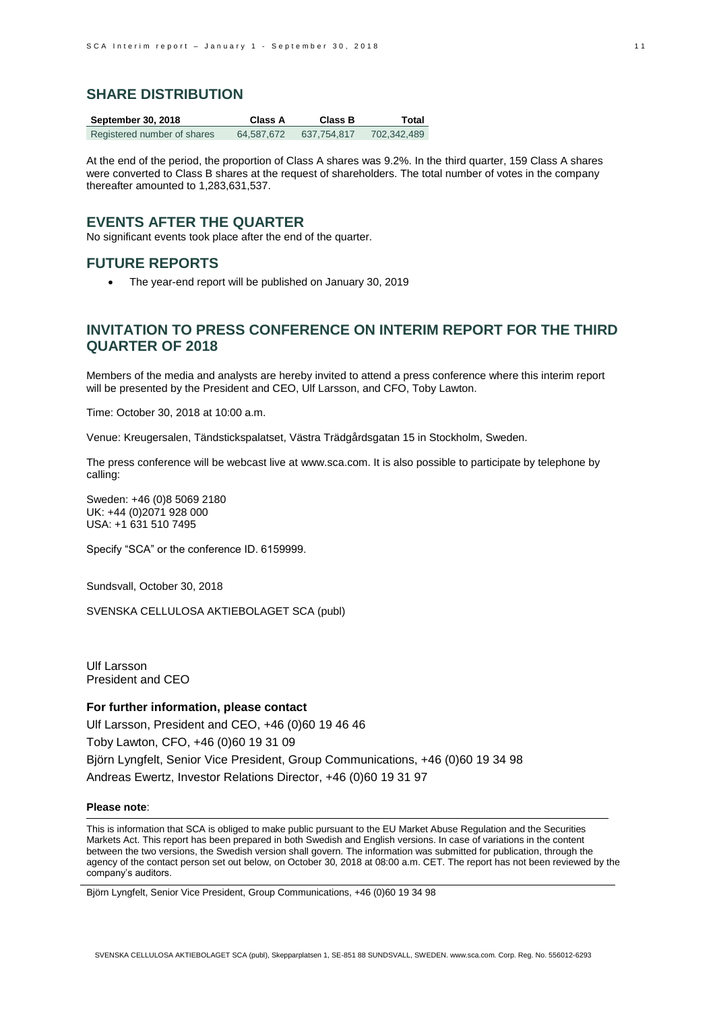### **SHARE DISTRIBUTION**

| <b>September 30, 2018</b>   | Class A    | <b>Class B</b> | Total       |
|-----------------------------|------------|----------------|-------------|
| Registered number of shares | 64.587.672 | 637,754,817    | 702,342,489 |

At the end of the period, the proportion of Class A shares was 9.2%. In the third quarter, 159 Class A shares were converted to Class B shares at the request of shareholders. The total number of votes in the company thereafter amounted to 1,283,631,537.

### **EVENTS AFTER THE QUARTER**

No significant events took place after the end of the quarter.

## **FUTURE REPORTS**

The year-end report will be published on January 30, 2019

# **INVITATION TO PRESS CONFERENCE ON INTERIM REPORT FOR THE THIRD QUARTER OF 2018**

Members of the media and analysts are hereby invited to attend a press conference where this interim report will be presented by the President and CEO, Ulf Larsson, and CFO, Toby Lawton.

Time: October 30, 2018 at 10:00 a.m.

Venue: Kreugersalen, Tändstickspalatset, Västra Trädgårdsgatan 15 in Stockholm, Sweden.

The press conference will be webcast live a[t www.sca.com.](http://www.sca.com/) It is also possible to participate by telephone by calling:

Sweden: +46 (0)8 5069 2180 UK: +44 (0)2071 928 000 USA: +1 631 510 7495

Specify "SCA" or the conference ID. 6159999.

Sundsvall, October 30, 2018

SVENSKA CELLULOSA AKTIEBOLAGET SCA (publ)

Ulf Larsson President and CEO

### **For further information, please contact**

Ulf Larsson, President and CEO, +46 (0)60 19 46 46

Toby Lawton, CFO, +46 (0)60 19 31 09

Björn Lyngfelt, Senior Vice President, Group Communications, +46 (0)60 19 34 98 Andreas Ewertz, Investor Relations Director, +46 (0)60 19 31 97

#### **Please note**:

This is information that SCA is obliged to make public pursuant to the EU Market Abuse Regulation and the Securities Markets Act. This report has been prepared in both Swedish and English versions. In case of variations in the content between the two versions, the Swedish version shall govern. The information was submitted for publication, through the agency of the contact person set out below, on October 30, 2018 at 08:00 a.m. CET. The report has not been reviewed by the company's auditors.

Björn Lyngfelt, Senior Vice President, Group Communications, +46 (0)60 19 34 98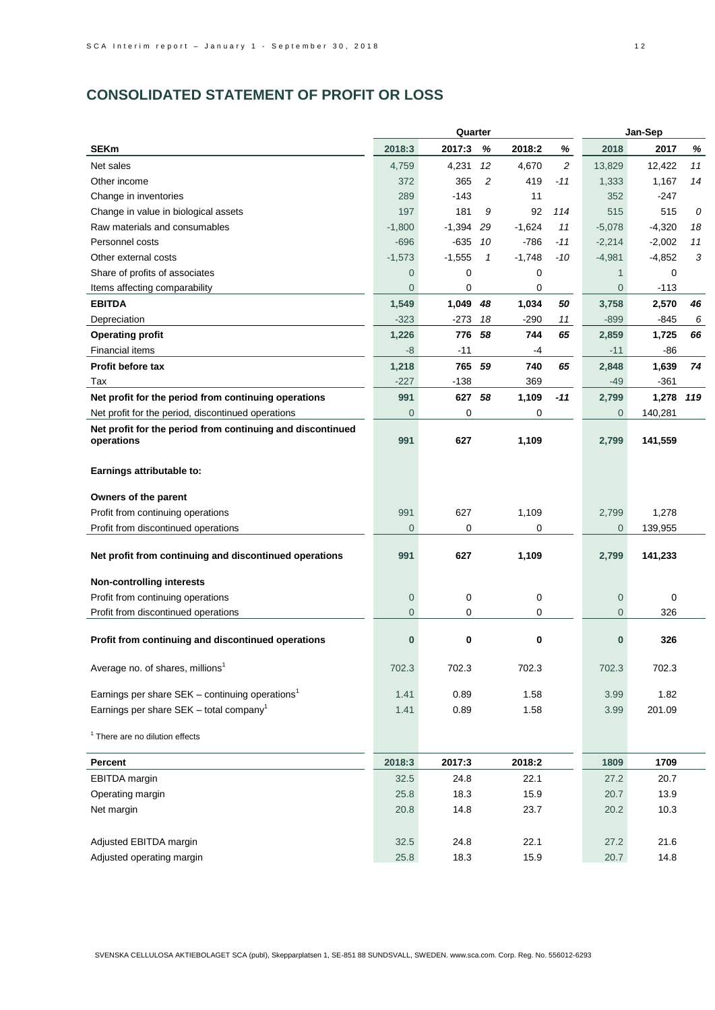# **CONSOLIDATED STATEMENT OF PROFIT OR LOSS**

|                                                             |                | Quarter  |              |          |       | Jan-Sep        |           |    |  |
|-------------------------------------------------------------|----------------|----------|--------------|----------|-------|----------------|-----------|----|--|
| <b>SEKm</b>                                                 | 2018:3         | 2017:3   | %            | 2018:2   | %     | 2018           | 2017      | %  |  |
| Net sales                                                   | 4,759          | 4,231    | 12           | 4,670    | 2     | 13,829         | 12,422    | 11 |  |
| Other income                                                | 372            | 365      | 2            | 419      | $-11$ | 1,333          | 1,167     | 14 |  |
| Change in inventories                                       | 289            | $-143$   |              | 11       |       | 352            | $-247$    |    |  |
| Change in value in biological assets                        | 197            | 181      | 9            | 92       | 114   | 515            | 515       | 0  |  |
| Raw materials and consumables                               | $-1,800$       | $-1,394$ | 29           | $-1,624$ | 11    | $-5,078$       | $-4,320$  | 18 |  |
| Personnel costs                                             | $-696$         | -635     | 10           | $-786$   | $-11$ | $-2,214$       | $-2,002$  | 11 |  |
| Other external costs                                        | $-1,573$       | $-1,555$ | $\mathbf{1}$ | $-1,748$ | $-10$ | $-4,981$       | $-4,852$  | 3  |  |
| Share of profits of associates                              | $\mathbf 0$    | 0        |              | 0        |       | $\mathbf{1}$   | 0         |    |  |
| Items affecting comparability                               | $\mathbf 0$    | 0        |              | 0        |       | $\mathbf 0$    | $-113$    |    |  |
| <b>EBITDA</b>                                               | 1,549          | 1,049    | 48           | 1,034    | 50    | 3,758          | 2,570     | 46 |  |
| Depreciation                                                | $-323$         | $-273$   | 18           | -290     | 11    | $-899$         | -845      | 6  |  |
| <b>Operating profit</b>                                     | 1,226          | 776      | 58           | 744      | 65    | 2,859          | 1,725     | 66 |  |
| <b>Financial items</b>                                      | -8             | $-11$    |              | -4       |       | $-11$          | -86       |    |  |
| <b>Profit before tax</b>                                    | 1,218          | 765      | 59           | 740      | 65    | 2,848          | 1,639     | 74 |  |
| Tax                                                         | $-227$         | $-138$   |              | 369      |       | $-49$          | $-361$    |    |  |
| Net profit for the period from continuing operations        | 991            | 627 58   |              | 1,109    | $-11$ | 2,799          | 1,278 119 |    |  |
| Net profit for the period, discontinued operations          | $\mathbf 0$    | 0        |              | 0        |       | $\overline{0}$ | 140,281   |    |  |
| Net profit for the period from continuing and discontinued  |                |          |              |          |       |                |           |    |  |
| operations                                                  | 991            | 627      |              | 1,109    |       | 2,799          | 141,559   |    |  |
| Earnings attributable to:                                   |                |          |              |          |       |                |           |    |  |
|                                                             |                |          |              |          |       |                |           |    |  |
| Owners of the parent                                        |                |          |              |          |       |                |           |    |  |
| Profit from continuing operations                           | 991            | 627      |              | 1,109    |       | 2,799          | 1,278     |    |  |
| Profit from discontinued operations                         | $\overline{0}$ | 0        |              | 0        |       | $\overline{0}$ | 139,955   |    |  |
|                                                             |                |          |              |          |       |                |           |    |  |
| Net profit from continuing and discontinued operations      | 991            | 627      |              | 1,109    |       | 2,799          | 141,233   |    |  |
| <b>Non-controlling interests</b>                            |                |          |              |          |       |                |           |    |  |
| Profit from continuing operations                           | $\mathbf 0$    | 0        |              | 0        |       | $\mathbf 0$    | 0         |    |  |
| Profit from discontinued operations                         | $\overline{0}$ | 0        |              | 0        |       | $\overline{0}$ | 326       |    |  |
|                                                             |                |          |              |          |       |                |           |    |  |
| Profit from continuing and discontinued operations          | $\bf{0}$       | 0        |              | 0        |       | $\bf{0}$       | 326       |    |  |
|                                                             |                |          |              |          |       |                |           |    |  |
| Average no. of shares, millions <sup>1</sup>                | 702.3          | 702.3    |              | 702.3    |       | 702.3          | 702.3     |    |  |
| Earnings per share SEK – continuing operations <sup>1</sup> | 1.41           | 0.89     |              | 1.58     |       | 3.99           | 1.82      |    |  |
| Earnings per share SEK - total company <sup>1</sup>         | 1.41           | 0.89     |              | 1.58     |       | 3.99           | 201.09    |    |  |
|                                                             |                |          |              |          |       |                |           |    |  |
| <sup>1</sup> There are no dilution effects                  |                |          |              |          |       |                |           |    |  |
| <b>Percent</b>                                              | 2018:3         | 2017:3   |              | 2018:2   |       | 1809           | 1709      |    |  |
| EBITDA margin                                               | 32.5           | 24.8     |              | 22.1     |       | 27.2           | 20.7      |    |  |
| Operating margin                                            | 25.8           | 18.3     |              | 15.9     |       | 20.7           | 13.9      |    |  |
| Net margin                                                  | 20.8           | 14.8     |              | 23.7     |       | 20.2           | 10.3      |    |  |
|                                                             |                |          |              |          |       |                |           |    |  |
| Adjusted EBITDA margin                                      | 32.5           | 24.8     |              | 22.1     |       | 27.2           | 21.6      |    |  |
| Adjusted operating margin                                   | 25.8           | 18.3     |              | 15.9     |       | 20.7           | 14.8      |    |  |
|                                                             |                |          |              |          |       |                |           |    |  |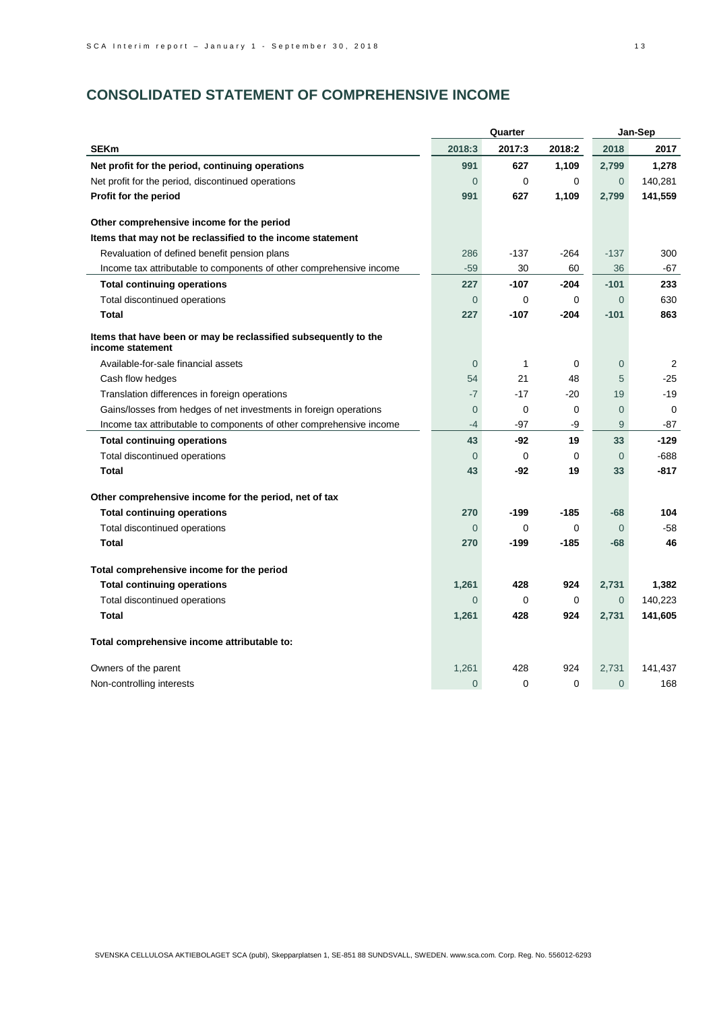# **CONSOLIDATED STATEMENT OF COMPREHENSIVE INCOME**

|                                                                                     |                | Quarter     |          | Jan-Sep        |         |  |
|-------------------------------------------------------------------------------------|----------------|-------------|----------|----------------|---------|--|
| <b>SEKm</b>                                                                         | 2018:3         | 2017:3      | 2018:2   | 2018           | 2017    |  |
| Net profit for the period, continuing operations                                    | 991            | 627         | 1,109    | 2,799          | 1,278   |  |
| Net profit for the period, discontinued operations                                  | $\overline{0}$ | $\mathbf 0$ | $\Omega$ | $\overline{0}$ | 140,281 |  |
| Profit for the period                                                               | 991            | 627         | 1,109    | 2,799          | 141,559 |  |
| Other comprehensive income for the period                                           |                |             |          |                |         |  |
| Items that may not be reclassified to the income statement                          |                |             |          |                |         |  |
| Revaluation of defined benefit pension plans                                        | 286            | $-137$      | $-264$   | $-137$         | 300     |  |
| Income tax attributable to components of other comprehensive income                 | $-59$          | 30          | 60       | 36             | -67     |  |
| <b>Total continuing operations</b>                                                  | 227            | $-107$      | $-204$   | $-101$         | 233     |  |
| Total discontinued operations                                                       | $\Omega$       | $\Omega$    | $\Omega$ | $\Omega$       | 630     |  |
| <b>Total</b>                                                                        | 227            | $-107$      | $-204$   | $-101$         | 863     |  |
| Items that have been or may be reclassified subsequently to the<br>income statement |                |             |          |                |         |  |
| Available-for-sale financial assets                                                 | $\Omega$       | 1           | 0        | $\overline{0}$ | 2       |  |
| Cash flow hedges                                                                    | 54             | 21          | 48       | 5              | $-25$   |  |
| Translation differences in foreign operations                                       | $-7$           | $-17$       | -20      | 19             | $-19$   |  |
| Gains/losses from hedges of net investments in foreign operations                   | $\overline{0}$ | 0           | 0        | $\overline{0}$ | 0       |  |
| Income tax attributable to components of other comprehensive income                 | $-4$           | -97         | -9       | 9              | -87     |  |
| <b>Total continuing operations</b>                                                  | 43             | -92         | 19       | 33             | $-129$  |  |
| Total discontinued operations                                                       | $\overline{0}$ | $\mathbf 0$ | $\Omega$ | $\mathbf 0$    | -688    |  |
| Total                                                                               | 43             | -92         | 19       | 33             | -817    |  |
| Other comprehensive income for the period, net of tax                               |                |             |          |                |         |  |
| <b>Total continuing operations</b>                                                  | 270            | -199        | -185     | $-68$          | 104     |  |
| Total discontinued operations                                                       | $\overline{0}$ | 0           | 0        | $\overline{0}$ | $-58$   |  |
| <b>Total</b>                                                                        | 270            | $-199$      | -185     | $-68$          | 46      |  |
| Total comprehensive income for the period                                           |                |             |          |                |         |  |
| <b>Total continuing operations</b>                                                  | 1,261          | 428         | 924      | 2,731          | 1,382   |  |
| Total discontinued operations                                                       | $\Omega$       | 0           | 0        | $\overline{0}$ | 140,223 |  |
| <b>Total</b>                                                                        | 1,261          | 428         | 924      | 2,731          | 141,605 |  |
| Total comprehensive income attributable to:                                         |                |             |          |                |         |  |
| Owners of the parent                                                                | 1,261          | 428         | 924      | 2,731          | 141,437 |  |
| Non-controlling interests                                                           | $\Omega$       | 0           | $\Omega$ | $\Omega$       | 168     |  |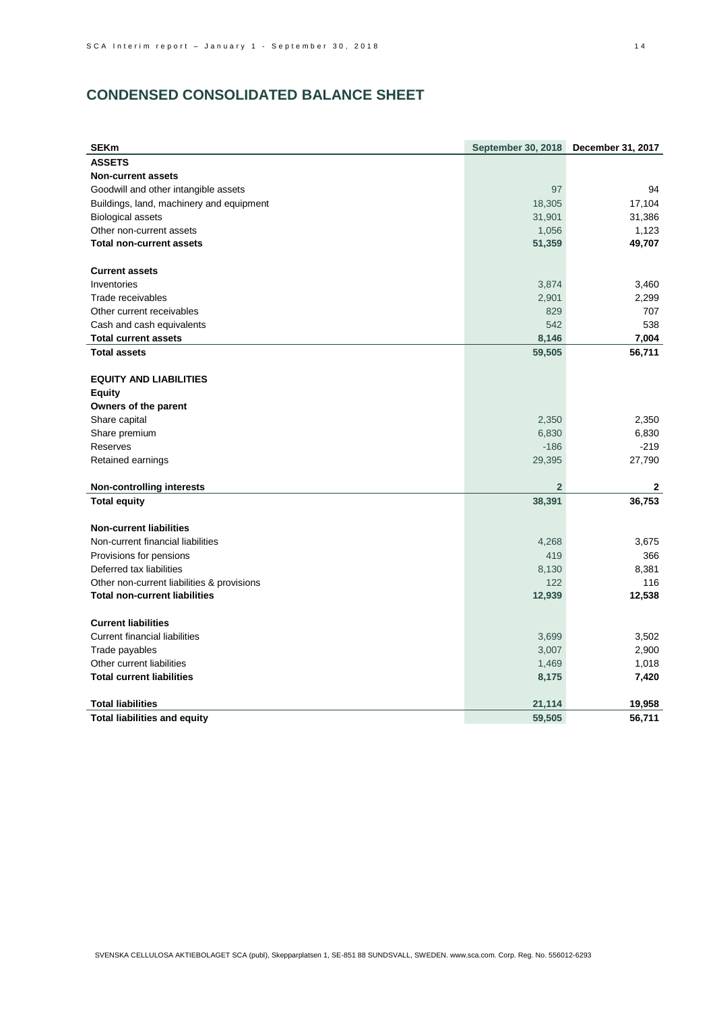# **CONDENSED CONSOLIDATED BALANCE SHEET**

| <b>SEKm</b>                                | <b>September 30, 2018</b> | December 31, 2017 |
|--------------------------------------------|---------------------------|-------------------|
| <b>ASSETS</b>                              |                           |                   |
| <b>Non-current assets</b>                  |                           |                   |
| Goodwill and other intangible assets       | 97                        | 94                |
| Buildings, land, machinery and equipment   | 18,305                    | 17,104            |
| <b>Biological assets</b>                   | 31,901                    | 31,386            |
| Other non-current assets                   | 1,056                     | 1,123             |
| <b>Total non-current assets</b>            | 51,359                    | 49,707            |
| <b>Current assets</b>                      |                           |                   |
| Inventories                                | 3,874                     | 3,460             |
| Trade receivables                          | 2,901                     | 2,299             |
| Other current receivables                  | 829                       | 707               |
| Cash and cash equivalents                  | 542                       | 538               |
| <b>Total current assets</b>                | 8,146                     | 7,004             |
| <b>Total assets</b>                        | 59,505                    | 56,711            |
| <b>EQUITY AND LIABILITIES</b>              |                           |                   |
| <b>Equity</b>                              |                           |                   |
| Owners of the parent                       |                           |                   |
| Share capital                              | 2,350                     | 2,350             |
| Share premium                              | 6,830                     | 6,830             |
| Reserves                                   | $-186$                    | $-219$            |
| Retained earnings                          | 29,395                    | 27,790            |
| <b>Non-controlling interests</b>           | $\overline{2}$            | 2                 |
| <b>Total equity</b>                        | 38,391                    | 36,753            |
| <b>Non-current liabilities</b>             |                           |                   |
| Non-current financial liabilities          | 4,268                     | 3,675             |
| Provisions for pensions                    | 419                       | 366               |
| Deferred tax liabilities                   | 8,130                     | 8,381             |
| Other non-current liabilities & provisions | 122                       | 116               |
| <b>Total non-current liabilities</b>       | 12,939                    | 12,538            |
| <b>Current liabilities</b>                 |                           |                   |
| <b>Current financial liabilities</b>       | 3,699                     | 3,502             |
| Trade payables                             | 3,007                     | 2,900             |
| Other current liabilities                  | 1,469                     | 1,018             |
| <b>Total current liabilities</b>           | 8,175                     | 7,420             |
| <b>Total liabilities</b>                   | 21,114                    | 19,958            |
| <b>Total liabilities and equity</b>        | 59,505                    | 56,711            |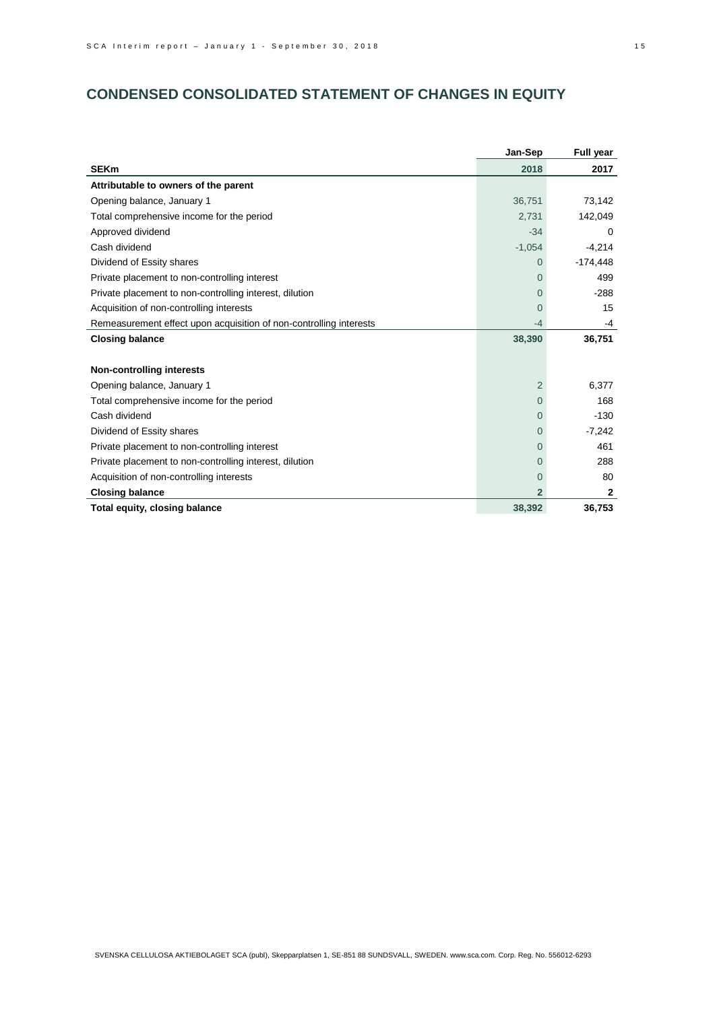# **CONDENSED CONSOLIDATED STATEMENT OF CHANGES IN EQUITY**

|                                                                    | Jan-Sep      | Full year    |
|--------------------------------------------------------------------|--------------|--------------|
| <b>SEKm</b>                                                        | 2018         | 2017         |
| Attributable to owners of the parent                               |              |              |
| Opening balance, January 1                                         | 36,751       | 73,142       |
| Total comprehensive income for the period                          | 2,731        | 142,049      |
| Approved dividend                                                  | $-34$        | 0            |
| Cash dividend                                                      | $-1,054$     | $-4,214$     |
| Dividend of Essity shares                                          | $\Omega$     | $-174,448$   |
| Private placement to non-controlling interest                      | $\Omega$     | 499          |
| Private placement to non-controlling interest, dilution            | $\Omega$     | $-288$       |
| Acquisition of non-controlling interests                           | $\Omega$     | 15           |
| Remeasurement effect upon acquisition of non-controlling interests | -4           | -4           |
| <b>Closing balance</b>                                             | 38,390       | 36,751       |
|                                                                    |              |              |
| <b>Non-controlling interests</b>                                   |              |              |
| Opening balance, January 1                                         | 2            | 6,377        |
| Total comprehensive income for the period                          | $\Omega$     | 168          |
| Cash dividend                                                      | $\Omega$     | $-130$       |
| Dividend of Essity shares                                          | $\Omega$     | $-7,242$     |
| Private placement to non-controlling interest                      | $\Omega$     | 461          |
| Private placement to non-controlling interest, dilution            | $\Omega$     | 288          |
| Acquisition of non-controlling interests                           | $\Omega$     | 80           |
| <b>Closing balance</b>                                             | $\mathbf{2}$ | $\mathbf{2}$ |
| Total equity, closing balance                                      | 38,392       | 36,753       |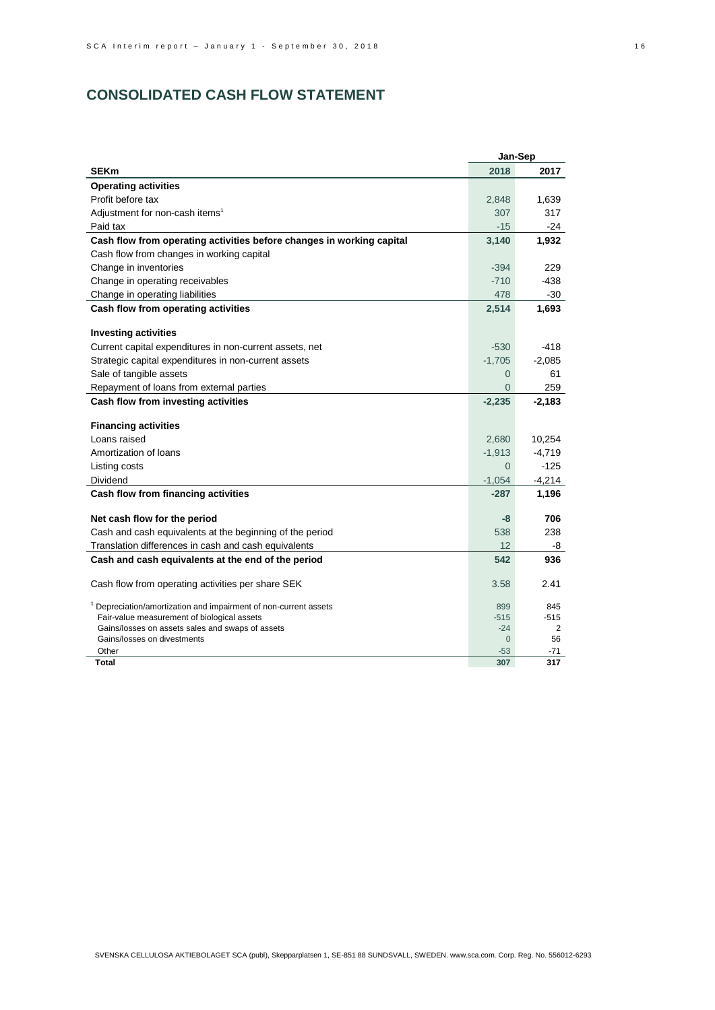# **CONSOLIDATED CASH FLOW STATEMENT**

|                                                                                          |                   | Jan-Sep   |
|------------------------------------------------------------------------------------------|-------------------|-----------|
| <b>SEKm</b>                                                                              | 2018              | 2017      |
| <b>Operating activities</b>                                                              |                   |           |
| Profit before tax                                                                        | 2,848             | 1,639     |
| Adjustment for non-cash items <sup>1</sup>                                               | 307               | 317       |
| Paid tax                                                                                 | $-15$             | $-24$     |
| Cash flow from operating activities before changes in working capital                    | 3,140             | 1,932     |
| Cash flow from changes in working capital                                                |                   |           |
| Change in inventories                                                                    | $-394$            | 229       |
| Change in operating receivables                                                          | $-710$            | -438      |
| Change in operating liabilities                                                          | 478               | -30       |
| Cash flow from operating activities                                                      | 2,514             | 1,693     |
| <b>Investing activities</b>                                                              |                   |           |
| Current capital expenditures in non-current assets, net                                  | $-530$            | $-418$    |
| Strategic capital expenditures in non-current assets                                     | $-1,705$          | $-2,085$  |
| Sale of tangible assets                                                                  | $\Omega$          | 61        |
| Repayment of loans from external parties                                                 | $\Omega$          | 259       |
|                                                                                          |                   | $-2,183$  |
| Cash flow from investing activities                                                      | $-2,235$          |           |
| <b>Financing activities</b>                                                              |                   |           |
| Loans raised                                                                             | 2,680             | 10,254    |
| Amortization of loans                                                                    | $-1,913$          | $-4,719$  |
| Listing costs                                                                            | $\Omega$          | $-125$    |
| Dividend                                                                                 | $-1,054$          | $-4,214$  |
| Cash flow from financing activities                                                      | $-287$            | 1,196     |
|                                                                                          | -8                | 706       |
| Net cash flow for the period<br>Cash and cash equivalents at the beginning of the period | 538               | 238       |
| Translation differences in cash and cash equivalents                                     | 12                |           |
| Cash and cash equivalents at the end of the period                                       | 542               | -8<br>936 |
|                                                                                          |                   |           |
| Cash flow from operating activities per share SEK                                        | 3.58              | 2.41      |
| Depreciation/amortization and impairment of non-current assets                           | 899               | 845       |
| Fair-value measurement of biological assets                                              | $-515$            | $-515$    |
| Gains/losses on assets sales and swaps of assets                                         | $-24$             | 2         |
| Gains/losses on divestments<br>Other                                                     | $\Omega$<br>$-53$ | 56<br>-71 |
| Total                                                                                    | 307               | 317       |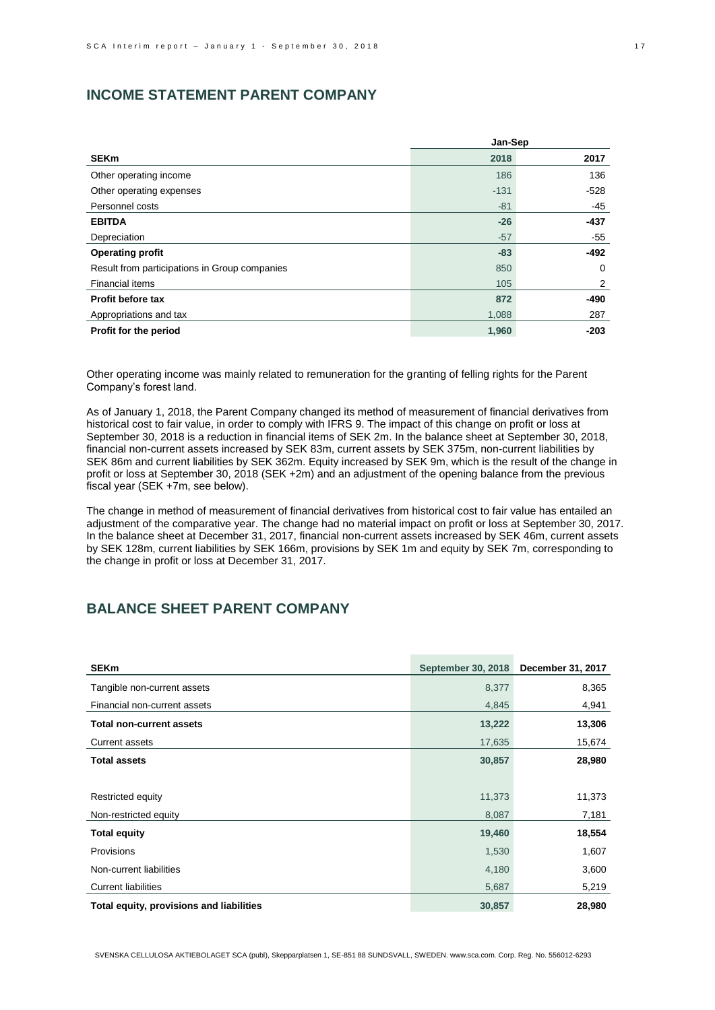# **INCOME STATEMENT PARENT COMPANY**

|                                               | Jan-Sep |        |  |
|-----------------------------------------------|---------|--------|--|
| <b>SEKm</b>                                   | 2018    | 2017   |  |
| Other operating income                        | 186     | 136    |  |
| Other operating expenses                      | $-131$  | -528   |  |
| Personnel costs                               | $-81$   | -45    |  |
| <b>EBITDA</b>                                 | $-26$   | $-437$ |  |
| Depreciation                                  | $-57$   | -55    |  |
| <b>Operating profit</b>                       | $-83$   | -492   |  |
| Result from participations in Group companies | 850     | 0      |  |
| <b>Financial items</b>                        | 105     | 2      |  |
| Profit before tax                             | 872     | -490   |  |
| Appropriations and tax                        | 1,088   | 287    |  |
| Profit for the period                         | 1,960   | $-203$ |  |

Other operating income was mainly related to remuneration for the granting of felling rights for the Parent Company's forest land.

As of January 1, 2018, the Parent Company changed its method of measurement of financial derivatives from historical cost to fair value, in order to comply with IFRS 9. The impact of this change on profit or loss at September 30, 2018 is a reduction in financial items of SEK 2m. In the balance sheet at September 30, 2018, financial non-current assets increased by SEK 83m, current assets by SEK 375m, non-current liabilities by SEK 86m and current liabilities by SEK 362m. Equity increased by SEK 9m, which is the result of the change in profit or loss at September 30, 2018 (SEK +2m) and an adjustment of the opening balance from the previous fiscal year (SEK +7m, see below).

The change in method of measurement of financial derivatives from historical cost to fair value has entailed an adjustment of the comparative year. The change had no material impact on profit or loss at September 30, 2017. In the balance sheet at December 31, 2017, financial non-current assets increased by SEK 46m, current assets by SEK 128m, current liabilities by SEK 166m, provisions by SEK 1m and equity by SEK 7m, corresponding to the change in profit or loss at December 31, 2017.

# **BALANCE SHEET PARENT COMPANY**

| <b>SEKm</b>                              | <b>September 30, 2018</b> | December 31, 2017 |
|------------------------------------------|---------------------------|-------------------|
| Tangible non-current assets              | 8,377                     | 8,365             |
| Financial non-current assets             | 4,845                     | 4,941             |
| <b>Total non-current assets</b>          | 13,222                    | 13,306            |
| <b>Current assets</b>                    | 17,635                    | 15,674            |
| <b>Total assets</b>                      | 30,857                    | 28,980            |
|                                          |                           |                   |
| Restricted equity                        | 11,373                    | 11,373            |
| Non-restricted equity                    | 8,087                     | 7,181             |
| <b>Total equity</b>                      | 19,460                    | 18,554            |
| Provisions                               | 1,530                     | 1,607             |
| Non-current liabilities                  | 4,180                     | 3,600             |
| <b>Current liabilities</b>               | 5,687                     | 5,219             |
| Total equity, provisions and liabilities | 30,857                    | 28,980            |

SVENSKA CELLULOSA AKTIEBOLAGET SCA (publ), Skepparplatsen 1, SE-851 88 SUNDSVALL, SWEDEN. www.sca.com. Corp. Reg. No. 556012-6293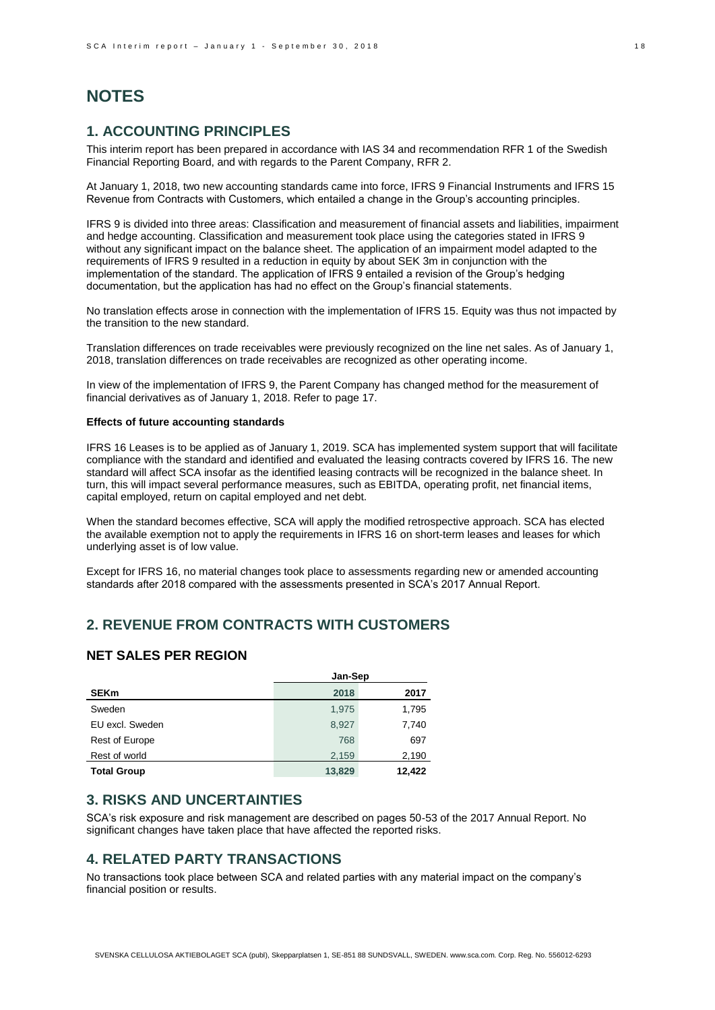# **NOTES**

## **1. ACCOUNTING PRINCIPLES**

This interim report has been prepared in accordance with IAS 34 and recommendation RFR 1 of the Swedish Financial Reporting Board, and with regards to the Parent Company, RFR 2.

At January 1, 2018, two new accounting standards came into force, IFRS 9 Financial Instruments and IFRS 15 Revenue from Contracts with Customers, which entailed a change in the Group's accounting principles.

IFRS 9 is divided into three areas: Classification and measurement of financial assets and liabilities, impairment and hedge accounting. Classification and measurement took place using the categories stated in IFRS 9 without any significant impact on the balance sheet. The application of an impairment model adapted to the requirements of IFRS 9 resulted in a reduction in equity by about SEK 3m in conjunction with the implementation of the standard. The application of IFRS 9 entailed a revision of the Group's hedging documentation, but the application has had no effect on the Group's financial statements.

No translation effects arose in connection with the implementation of IFRS 15. Equity was thus not impacted by the transition to the new standard.

Translation differences on trade receivables were previously recognized on the line net sales. As of January 1, 2018, translation differences on trade receivables are recognized as other operating income.

In view of the implementation of IFRS 9, the Parent Company has changed method for the measurement of financial derivatives as of January 1, 2018. Refer to page 17.

#### **Effects of future accounting standards**

IFRS 16 Leases is to be applied as of January 1, 2019. SCA has implemented system support that will facilitate compliance with the standard and identified and evaluated the leasing contracts covered by IFRS 16. The new standard will affect SCA insofar as the identified leasing contracts will be recognized in the balance sheet. In turn, this will impact several performance measures, such as EBITDA, operating profit, net financial items, capital employed, return on capital employed and net debt.

When the standard becomes effective, SCA will apply the modified retrospective approach. SCA has elected the available exemption not to apply the requirements in IFRS 16 on short-term leases and leases for which underlying asset is of low value.

Except for IFRS 16, no material changes took place to assessments regarding new or amended accounting standards after 2018 compared with the assessments presented in SCA's 2017 Annual Report.

# **2. REVENUE FROM CONTRACTS WITH CUSTOMERS**

### **NET SALES PER REGION**

|                    | Jan-Sep |        |  |
|--------------------|---------|--------|--|
| <b>SEKm</b>        | 2018    | 2017   |  |
| Sweden             | 1,975   | 1,795  |  |
| EU excl. Sweden    | 8.927   | 7,740  |  |
| Rest of Europe     | 768     | 697    |  |
| Rest of world      | 2,159   | 2,190  |  |
| <b>Total Group</b> | 13,829  | 12.422 |  |

# **3. RISKS AND UNCERTAINTIES**

SCA's risk exposure and risk management are described on pages 50-53 of the 2017 Annual Report. No significant changes have taken place that have affected the reported risks.

## **4. RELATED PARTY TRANSACTIONS**

No transactions took place between SCA and related parties with any material impact on the company's financial position or results.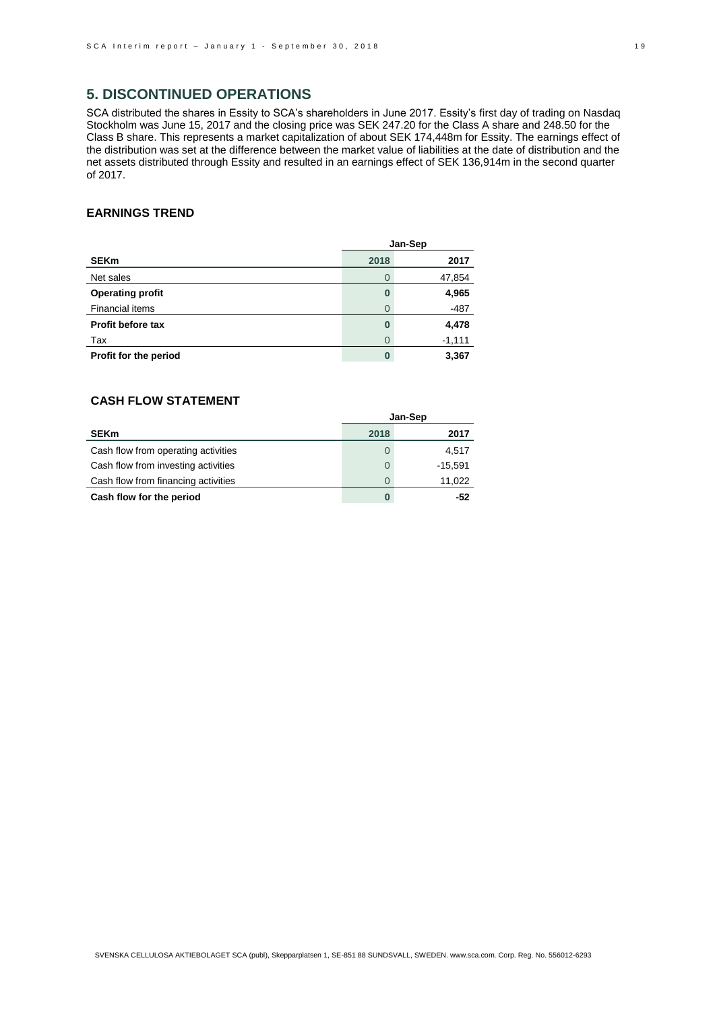## **5. DISCONTINUED OPERATIONS**

SCA distributed the shares in Essity to SCA's shareholders in June 2017. Essity's first day of trading on Nasdaq Stockholm was June 15, 2017 and the closing price was SEK 247.20 for the Class A share and 248.50 for the Class B share. This represents a market capitalization of about SEK 174,448m for Essity. The earnings effect of the distribution was set at the difference between the market value of liabilities at the date of distribution and the net assets distributed through Essity and resulted in an earnings effect of SEK 136,914m in the second quarter of 2017.

### **EARNINGS TREND**

|                          | Jan-Sep |          |  |
|--------------------------|---------|----------|--|
| <b>SEKm</b>              | 2018    | 2017     |  |
| Net sales                | 0       | 47,854   |  |
| <b>Operating profit</b>  | 0       | 4,965    |  |
| <b>Financial items</b>   | 0       | $-487$   |  |
| <b>Profit before tax</b> | 0       | 4,478    |  |
| Tax                      | 0       | $-1,111$ |  |
| Profit for the period    | 0       | 3,367    |  |

## **CASH FLOW STATEMENT**

|                                     | Jan-Sep      |           |  |
|-------------------------------------|--------------|-----------|--|
| <b>SEKm</b>                         | 2018         | 2017      |  |
| Cash flow from operating activities | 0            | 4.517     |  |
| Cash flow from investing activities | $\Omega$     | $-15.591$ |  |
| Cash flow from financing activities | <sup>0</sup> | 11,022    |  |
| Cash flow for the period            | 0            | -52       |  |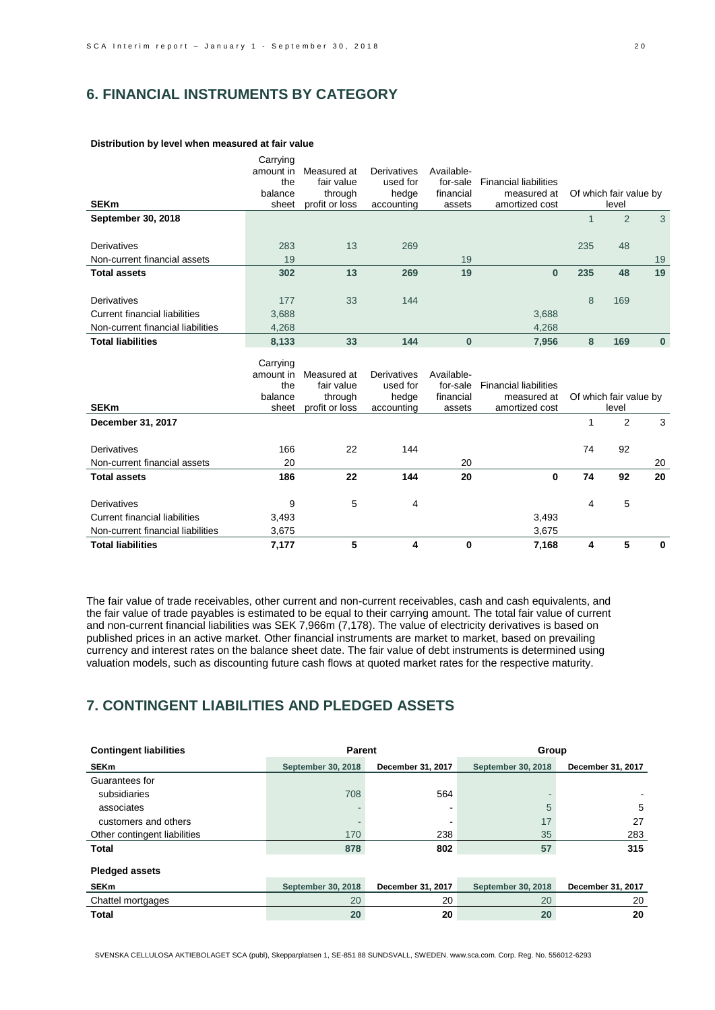# **6. FINANCIAL INSTRUMENTS BY CATEGORY**

|                                      | Carrying         |                           |                     |                     |                               |              |                                 |          |
|--------------------------------------|------------------|---------------------------|---------------------|---------------------|-------------------------------|--------------|---------------------------------|----------|
|                                      | amount in        | Measured at               | Derivatives         | Available-          |                               |              |                                 |          |
|                                      | the              | fair value                | used for            | for-sale            | <b>Financial liabilities</b>  |              |                                 |          |
|                                      | balance          | through                   | hedge               | financial           | measured at                   |              | Of which fair value by          |          |
| <b>SEKm</b>                          | sheet            | profit or loss            | accounting          | assets              | amortized cost                |              | level                           |          |
| September 30, 2018                   |                  |                           |                     |                     |                               | $\mathbf{1}$ | 2                               | 3        |
|                                      |                  |                           |                     |                     |                               |              |                                 |          |
| Derivatives                          | 283              | 13                        | 269                 |                     |                               | 235          | 48                              |          |
| Non-current financial assets         | 19               |                           |                     | 19                  |                               |              |                                 | 19       |
| <b>Total assets</b>                  | 302              | 13                        | 269                 | 19                  | $\mathbf{0}$                  | 235          | 48                              | 19       |
|                                      |                  |                           |                     |                     |                               |              |                                 |          |
| Derivatives                          | 177              | 33                        | 144                 |                     |                               | 8            | 169                             |          |
| <b>Current financial liabilities</b> | 3,688            |                           |                     |                     | 3,688                         |              |                                 |          |
| Non-current financial liabilities    | 4,268            |                           |                     |                     | 4.268                         |              |                                 |          |
| <b>Total liabilities</b>             | 8,133            | 33                        | 144                 | $\bf{0}$            | 7,956                         | 8            | 169                             | $\bf{0}$ |
|                                      |                  |                           |                     |                     |                               |              |                                 |          |
|                                      | Carrying         |                           |                     |                     |                               |              |                                 |          |
|                                      | amount in        | Measured at               | Derivatives         | Available-          |                               |              |                                 |          |
|                                      | the              | fair value                | used for            | for-sale            | <b>Financial liabilities</b>  |              |                                 |          |
| <b>SEKm</b>                          | balance<br>sheet | through<br>profit or loss | hedge<br>accounting | financial<br>assets | measured at<br>amortized cost |              | Of which fair value by<br>level |          |
|                                      |                  |                           |                     |                     |                               |              | 2                               |          |
| December 31, 2017                    |                  |                           |                     |                     |                               | 1            |                                 | 3        |
| Derivatives                          | 166              | 22                        | 144                 |                     |                               | 74           | 92                              |          |
| Non-current financial assets         | 20               |                           |                     | 20                  |                               |              |                                 | 20       |
| <b>Total assets</b>                  | 186              | 22                        | 144                 | 20                  | $\mathbf 0$                   | 74           | 92                              | 20       |
|                                      |                  |                           |                     |                     |                               |              |                                 |          |
| Derivatives                          | 9                | 5                         | 4                   |                     |                               | 4            | 5                               |          |
| <b>Current financial liabilities</b> | 3,493            |                           |                     |                     | 3,493                         |              |                                 |          |
| Non-current financial liabilities    | 3,675            |                           |                     |                     | 3,675                         |              |                                 |          |
| <b>Total liabilities</b>             | 7,177            | 5                         | 4                   | 0                   | 7,168                         | 4            | 5                               | 0        |

#### **Distribution by level when measured at fair value**

The fair value of trade receivables, other current and non-current receivables, cash and cash equivalents, and the fair value of trade payables is estimated to be equal to their carrying amount. The total fair value of current and non-current financial liabilities was SEK 7,966m (7,178). The value of electricity derivatives is based on published prices in an active market. Other financial instruments are market to market, based on prevailing currency and interest rates on the balance sheet date. The fair value of debt instruments is determined using valuation models, such as discounting future cash flows at quoted market rates for the respective maturity.

# **7. CONTINGENT LIABILITIES AND PLEDGED ASSETS**

| <b>Contingent liabilities</b> | Parent                    |                          | Group              |                   |
|-------------------------------|---------------------------|--------------------------|--------------------|-------------------|
| <b>SEKm</b>                   | <b>September 30, 2018</b> | December 31, 2017        | September 30, 2018 | December 31, 2017 |
| Guarantees for                |                           |                          |                    |                   |
| subsidiaries                  | 708                       | 564                      |                    |                   |
| associates                    |                           | $\overline{\phantom{a}}$ | 5                  | 5                 |
| customers and others          |                           | $\overline{\phantom{a}}$ | 17                 | 27                |
| Other contingent liabilities  | 170                       | 238                      | 35                 | 283               |
| <b>Total</b>                  | 878                       | 802                      | 57                 | 315               |
| <b>Pledged assets</b>         |                           |                          |                    |                   |
| <b>SEKm</b>                   | September 30, 2018        | December 31, 2017        | September 30, 2018 | December 31, 2017 |
| Chattel mortgages             | 20                        | 20                       | 20                 | 20                |
| <b>Total</b>                  | 20                        | 20                       | 20                 | 20                |

SVENSKA CELLULOSA AKTIEBOLAGET SCA (publ), Skepparplatsen 1, SE-851 88 SUNDSVALL, SWEDEN. www.sca.com. Corp. Reg. No. 556012-6293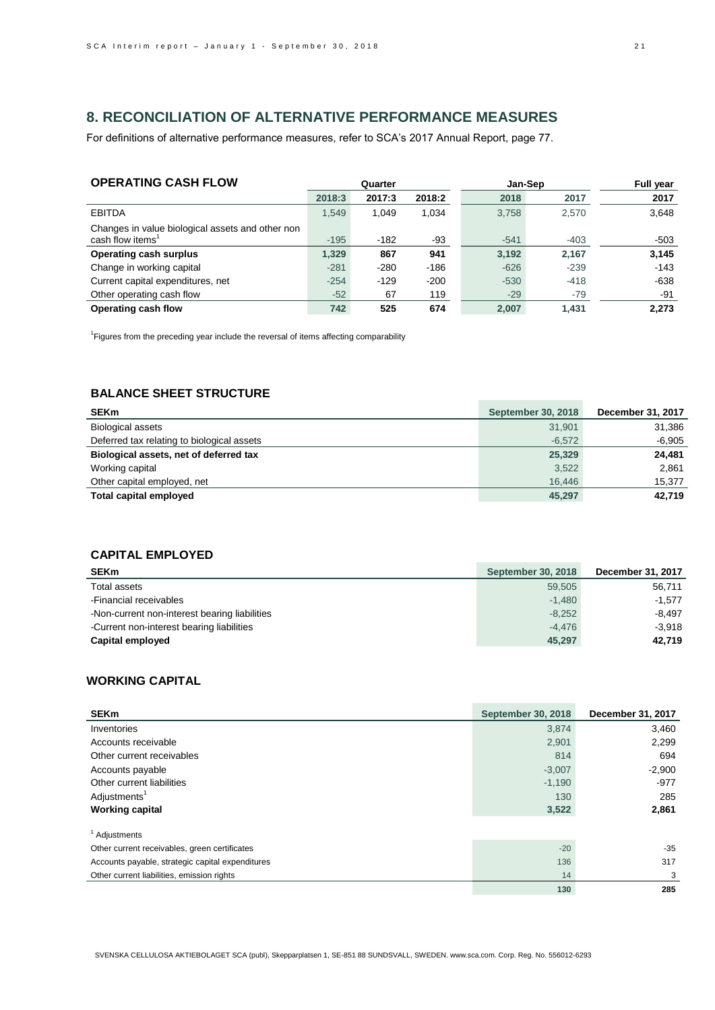# **8. RECONCILIATION OF ALTERNATIVE PERFORMANCE MEASURES**

For definitions of alternative performance measures, refer to SCA's 2017 Annual Report, page 77.

| <b>OPERATING CASH FLOW</b>                                                       | Quarter |        | Jan-Sep |        | <b>Full year</b> |        |
|----------------------------------------------------------------------------------|---------|--------|---------|--------|------------------|--------|
|                                                                                  | 2018:3  | 2017:3 | 2018:2  | 2018   | 2017             | 2017   |
| <b>EBITDA</b>                                                                    | 1.549   | 1.049  | 1.034   | 3.758  | 2,570            | 3,648  |
| Changes in value biological assets and other non<br>cash flow items <sup>1</sup> | $-195$  | $-182$ | $-93$   | $-541$ | $-403$           | $-503$ |
| <b>Operating cash surplus</b>                                                    | 1.329   | 867    | 941     | 3.192  | 2.167            | 3,145  |
| Change in working capital                                                        | $-281$  | $-280$ | $-186$  | $-626$ | $-239$           | $-143$ |
| Current capital expenditures, net                                                | $-254$  | $-129$ | $-200$  | $-530$ | $-418$           | $-638$ |
| Other operating cash flow                                                        | $-52$   | 67     | 119     | $-29$  | $-79$            | $-91$  |
| Operating cash flow                                                              | 742     | 525    | 674     | 2.007  | 1.431            | 2.273  |

<sup>1</sup> Figures from the preceding year include the reversal of items affecting comparability

# **BALANCE SHEET STRUCTURE**

| <b>SEKm</b>                                | <b>September 30, 2018</b> | December 31, 2017 |
|--------------------------------------------|---------------------------|-------------------|
| <b>Biological assets</b>                   | 31,901                    | 31,386            |
| Deferred tax relating to biological assets | $-6,572$                  | $-6,905$          |
| Biological assets, net of deferred tax     | 25,329                    | 24,481            |
| Working capital                            | 3,522                     | 2.861             |
| Other capital employed, net                | 16.446                    | 15.377            |
| Total capital employed                     | 45,297                    | 42,719            |

## **CAPITAL EMPLOYED**

| <b>SEKm</b>                                   | <b>September 30, 2018</b> | December 31, 2017 |
|-----------------------------------------------|---------------------------|-------------------|
| Total assets                                  | 59.505                    | 56,711            |
| -Financial receivables                        | $-1.480$                  | $-1.577$          |
| -Non-current non-interest bearing liabilities | $-8.252$                  | $-8.497$          |
| -Current non-interest bearing liabilities     | $-4.476$                  | $-3.918$          |
| Capital employed                              | 45,297                    | 42.719            |

### **WORKING CAPITAL**

| <b>SEKm</b>                                      | <b>September 30, 2018</b> | December 31, 2017 |
|--------------------------------------------------|---------------------------|-------------------|
| Inventories                                      | 3,874                     | 3,460             |
| Accounts receivable                              | 2,901                     | 2,299             |
| Other current receivables                        | 814                       | 694               |
| Accounts payable                                 | $-3,007$                  | $-2,900$          |
| Other current liabilities                        | $-1,190$                  | $-977$            |
| Adjustments <sup>1</sup>                         | 130                       | 285               |
| <b>Working capital</b>                           | 3,522                     | 2,861             |
| <sup>1</sup> Adjustments                         |                           |                   |
| Other current receivables, green certificates    | $-20$                     | -35               |
| Accounts payable, strategic capital expenditures | 136                       | 317               |
| Other current liabilities, emission rights       | 14                        | 3                 |
|                                                  | 130                       | 285               |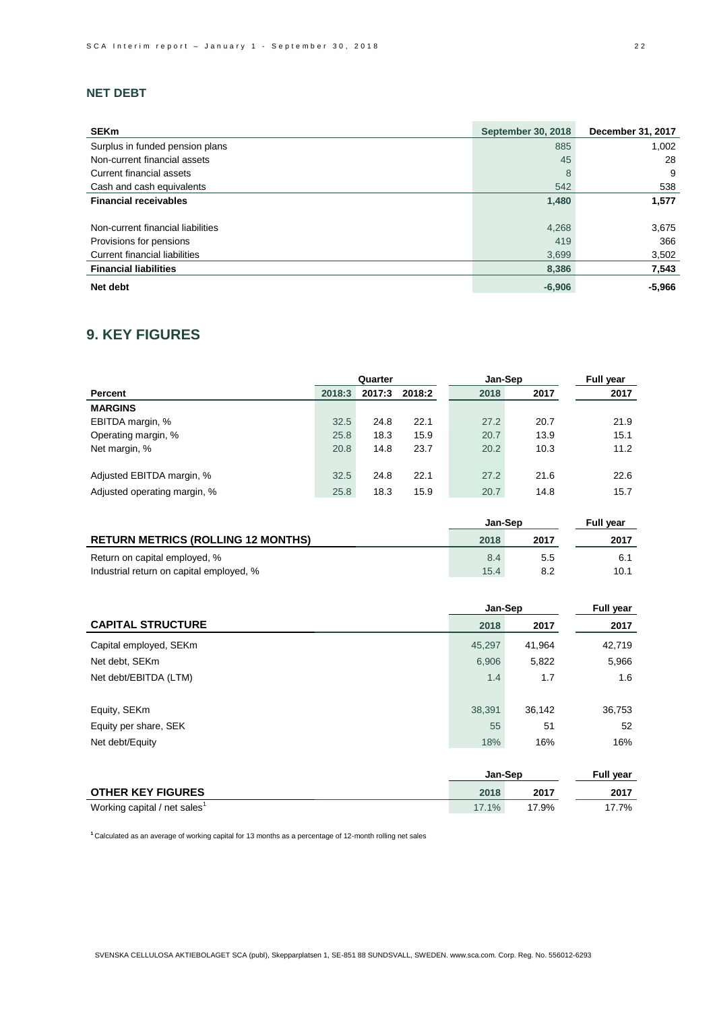## **NET DEBT**

| <b>SEKm</b>                          | <b>September 30, 2018</b> | December 31, 2017 |
|--------------------------------------|---------------------------|-------------------|
| Surplus in funded pension plans      | 885                       | 1,002             |
| Non-current financial assets         | 45                        | 28                |
| Current financial assets             | 8                         | 9                 |
| Cash and cash equivalents            | 542                       | 538               |
| <b>Financial receivables</b>         | 1,480                     | 1,577             |
| Non-current financial liabilities    | 4,268                     | 3,675             |
| Provisions for pensions              | 419                       | 366               |
| <b>Current financial liabilities</b> | 3,699                     | 3,502             |
| <b>Financial liabilities</b>         | 8,386                     | 7,543             |
| Net debt                             | $-6,906$                  | $-5,966$          |

# **9. KEY FIGURES**

|                              |        | Quarter |        | Jan-Sep | <b>Full year</b> |      |
|------------------------------|--------|---------|--------|---------|------------------|------|
| Percent                      | 2018:3 | 2017:3  | 2018:2 | 2018    | 2017             | 2017 |
| <b>MARGINS</b>               |        |         |        |         |                  |      |
| EBITDA margin, %             | 32.5   | 24.8    | 22.1   | 27.2    | 20.7             | 21.9 |
| Operating margin, %          | 25.8   | 18.3    | 15.9   | 20.7    | 13.9             | 15.1 |
| Net margin, %                | 20.8   | 14.8    | 23.7   | 20.2    | 10.3             | 11.2 |
|                              |        |         |        |         |                  |      |
| Adjusted EBITDA margin, %    | 32.5   | 24.8    | 22.1   | 27.2    | 21.6             | 22.6 |
| Adjusted operating margin, % | 25.8   | 18.3    | 15.9   | 20.7    | 14.8             | 15.7 |

|                                                                           | <b>Jan-Sep</b> | <b>Full year</b> |      |
|---------------------------------------------------------------------------|----------------|------------------|------|
| <b>RETURN METRICS (ROLLING 12 MONTHS)</b>                                 | 2018           | 2017             | 2017 |
| Return on capital employed, %<br>Industrial return on capital employed, % | 8.4<br>15.4    | 5.5              | 10.1 |

|        | Full year |         |
|--------|-----------|---------|
| 2018   | 2017      | 2017    |
| 45.297 | 41,964    | 42,719  |
| 6,906  | 5,822     | 5,966   |
| 1.4    | 1.7       | 1.6     |
|        |           |         |
| 38,391 | 36,142    | 36,753  |
| 55     | 51        | 52      |
| 18%    | 16%       | 16%     |
|        |           | Jan-Sep |

|                                          | <b>Jan-Sep</b> | <b>Full vear</b> |      |
|------------------------------------------|----------------|------------------|------|
| <b>OTHER KEY FIGURES</b>                 | 2018           | 2017             | 2017 |
| Working capital / net sales <sup>1</sup> | $17.1\%$       | 17.9%            | 7.7% |

**<sup>1</sup>**Calculated as an average of working capital for 13 months as a percentage of 12-month rolling net sales